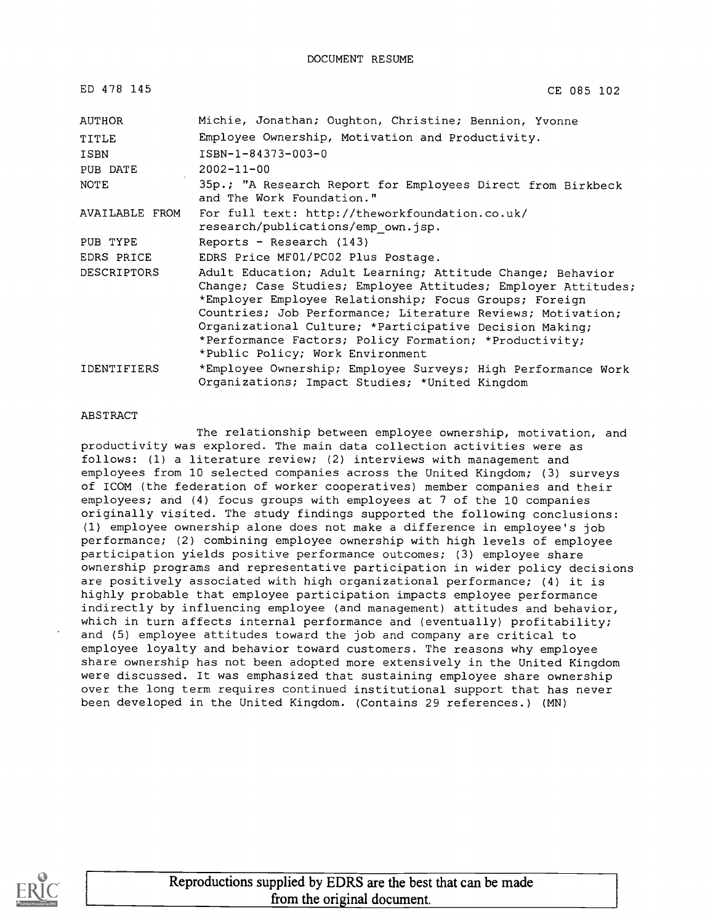| ED 478 145         | CE 085 102                                                                                                                                                                                                                                                                                                                                                                                                    |
|--------------------|---------------------------------------------------------------------------------------------------------------------------------------------------------------------------------------------------------------------------------------------------------------------------------------------------------------------------------------------------------------------------------------------------------------|
| AUTHOR             | Michie, Jonathan; Oughton, Christine; Bennion, Yvonne                                                                                                                                                                                                                                                                                                                                                         |
| TITLE              | Employee Ownership, Motivation and Productivity.                                                                                                                                                                                                                                                                                                                                                              |
| <b>ISBN</b>        | ISBN-1-84373-003-0                                                                                                                                                                                                                                                                                                                                                                                            |
| PUB DATE           | $2002 - 11 - 00$                                                                                                                                                                                                                                                                                                                                                                                              |
| <b>NOTE</b>        | 35p.; "A Research Report for Employees Direct from Birkbeck<br>and The Work Foundation."                                                                                                                                                                                                                                                                                                                      |
| AVAILABLE FROM     | For full text: http://theworkfoundation.co.uk/<br>research/publications/emp own.jsp.                                                                                                                                                                                                                                                                                                                          |
| PUB TYPE           | Reports - Research (143)                                                                                                                                                                                                                                                                                                                                                                                      |
| EDRS PRICE         | EDRS Price MF01/PC02 Plus Postage.                                                                                                                                                                                                                                                                                                                                                                            |
| <b>DESCRIPTORS</b> | Adult Education; Adult Learning; Attitude Change; Behavior<br>Change; Case Studies; Employee Attitudes; Employer Attitudes;<br>*Employer Employee Relationship; Focus Groups; Foreign<br>Countries; Job Performance; Literature Reviews; Motivation;<br>Organizational Culture; *Participative Decision Making;<br>*Performance Factors; Policy Formation; *Productivity;<br>*Public Policy; Work Environment |
| <b>IDENTIFIERS</b> | *Employee Ownership; Employee Surveys; High Performance Work<br>Organizations; Impact Studies; *United Kingdom                                                                                                                                                                                                                                                                                                |

#### ABSTRACT

The relationship between employee ownership, motivation, and productivity was explored. The main data collection activities were as follows: (1) a literature review; (2) interviews with management and employees from 10 selected companies across the United Kingdom; (3) surveys of ICOM (the federation of worker cooperatives) member companies and their employees; and (4) focus groups with employees at 7 of the 10 companies originally visited. The study findings supported the following conclusions: (1) employee ownership alone does not make a difference in employee's job performance; (2) combining employee ownership with high levels of employee participation yields positive performance outcomes; (3) employee share ownership programs and representative participation in wider policy decisions are positively associated with high organizational performance; (4) it is highly probable that employee participation impacts employee performance indirectly by influencing employee (and management) attitudes and behavior, which in turn affects internal performance and (eventually) profitability; and (5) employee attitudes toward the job and company are critical to employee loyalty and behavior toward customers. The reasons why employee share ownership has not been adopted more extensively in the United Kingdom were discussed. It was emphasized that sustaining employee share ownership over the long term requires continued institutional support that has never been developed in the United Kingdom. (Contains 29 references.) (MN)

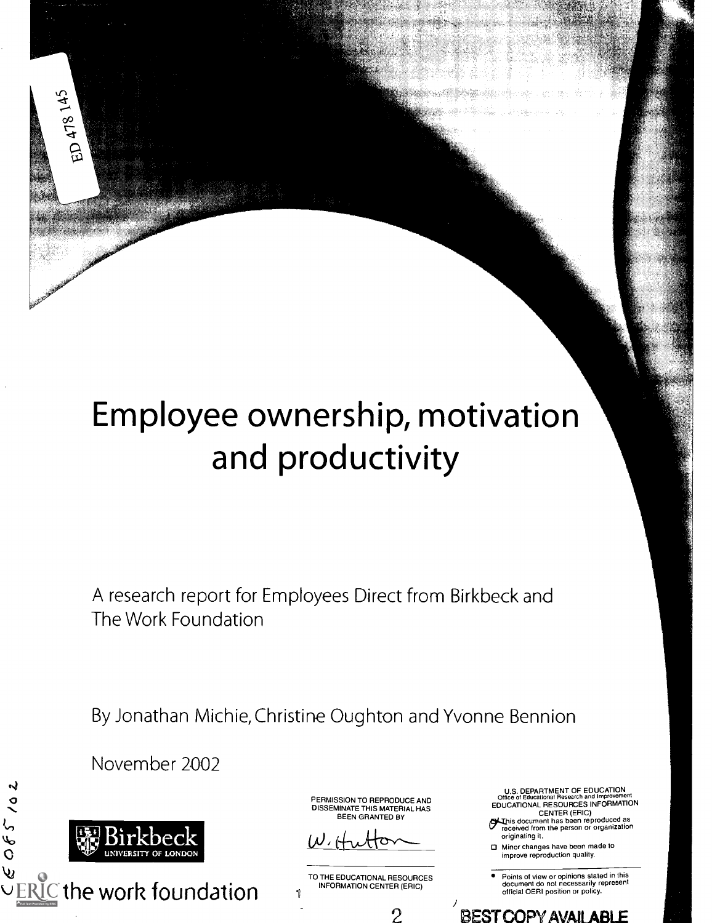## Employee ownership, motivation and productivity

A research report for Employees Direct from Birkbeck and The Work Foundation

By Jonathan Michie, Christine Oughton and Yvonne Bennion

November 2002



 $065/0$ 

ED 478 145

u<br>U<u>ERIC</u> the work foundation

PERMISSION TO REPRODUCE AND DISSEMINATE THIS MATERIAL HAS BEEN GRANTED BY

 $\omega$ , H

TO THE EDUCATIONAL RESOURCES INFORMATION CENTER (ERIC)

U.S. DEPARTMENT OF EDUCATION Office of Educational Research and Improvement<br>EDUCATIONAL RESOURCES INFORMATION

CENTER (ERIC) hisis document has been reproduced as freceived from the person or organization originating it.

- Minor changes have been made to improve reproduction quality.
- Points of view or opinions stated in this document do not necessarily represent official OERI position or policy.

 $\frac{1}{2}$ 2 BEST COPY AVAILABLE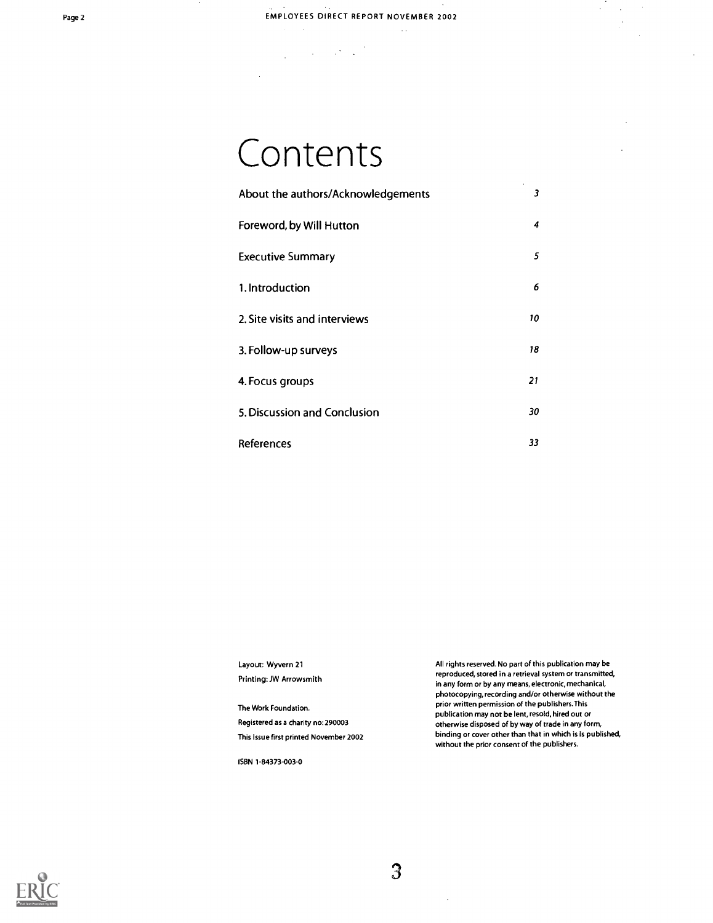$\sim$  .

### Contents

 $\label{eq:2} \frac{1}{2} \int_{\mathbb{R}^3} \frac{1}{\sqrt{2}} \, \frac{1}{\sqrt{2}} \, \frac{1}{\sqrt{2}} \, \frac{1}{\sqrt{2}} \, \frac{1}{\sqrt{2}} \, \frac{1}{\sqrt{2}} \, \frac{1}{\sqrt{2}} \, \frac{1}{\sqrt{2}} \, \frac{1}{\sqrt{2}} \, \frac{1}{\sqrt{2}} \, \frac{1}{\sqrt{2}} \, \frac{1}{\sqrt{2}} \, \frac{1}{\sqrt{2}} \, \frac{1}{\sqrt{2}} \, \frac{1}{\sqrt{2}} \, \frac{1}{\sqrt{2}} \, \frac$ 

| About the authors/Acknowledgements | $\sim$<br>3 |  |
|------------------------------------|-------------|--|
| Foreword, by Will Hutton           | 4           |  |
| <b>Executive Summary</b>           | 5           |  |
| 1. Introduction                    | 6           |  |
| 2. Site visits and interviews      | 10          |  |
| 3. Follow-up surveys               | 18          |  |
| 4. Focus groups                    | 21          |  |
| 5. Discussion and Conclusion       | 30          |  |
| References                         | 33          |  |

Layout: Wyvern 21 Printing: JW Arrowsmith

The Work Foundation. Registered as a charity no:290003 This issue first printed November 2002

ISBN 1-84373-003-0

All rights reserved. No part of this publication may be reproduced, stored in a retrieval system or transmitted, in any form or by any means, electronic, mechanical, photocopying, recording and/or otherwise without the prior written permission of the publishers.This publication may not be lent, resold, hired out or otherwise disposed of by way of trade in any form, binding or cover other than that in which is is published, without the prior consent of the publishers.

 $\bar{z}$  $\ddot{\phantom{0}}$  $\bar{\beta}$ 



3

 $\ddot{\phantom{a}}$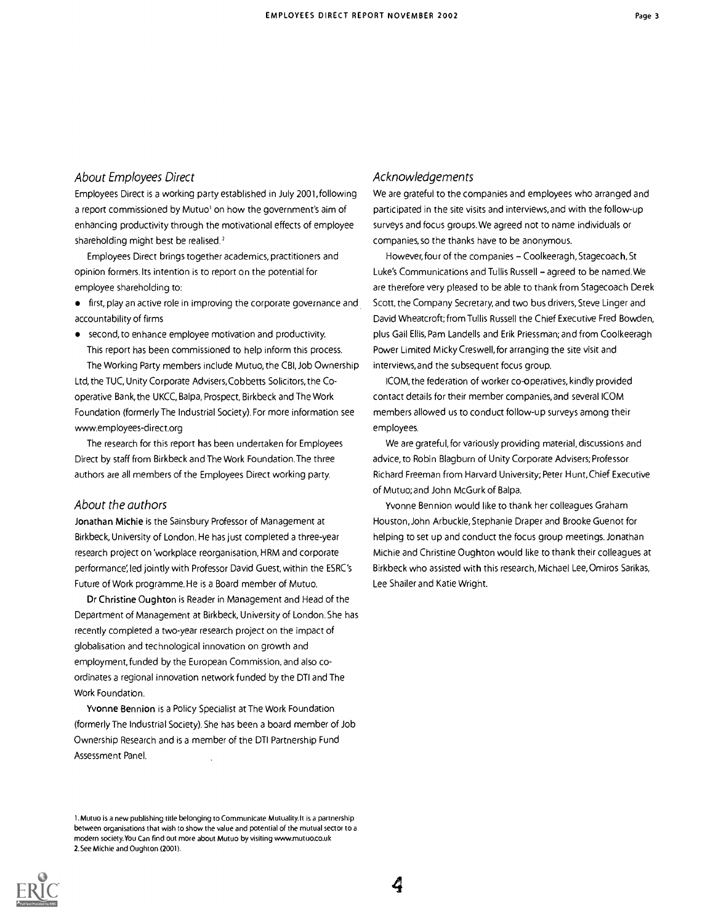#### About Employees Direct

Employees Direct is a working party established in July 2001, following a report commissioned by Mutuo' on how the government's aim of enhancing productivity through the motivational effects of employee shareholding might best be realised.'

Employees Direct brings together academics, practitioners and opinion formers. Its intention is to report on the potential for employee shareholding to:

**•** first, play an active role in improving the corporate governance and accountability of firms

second, to enhance employee motivation and productivity. This report has been commissioned to help inform this process. The Working Party members include Mutuo, the CBI, Job Ownership

Ltd, the TUC, Unity Corporate Advisers,Cobbetts Solicitors, the Cooperative Bank, the UKCC, Balpa, Prospect, Birkbeck and The Work Foundation (formerly The Industrial Society). For more information see www.employees-direct.org

The research for this report has been undertaken for Employees Direct by staff from Birkbeck and The Work Foundation.The three authors are all members of the Employees Direct working party.

#### About the authors

Jonathan Michie is the Sainsbury Professor of Management at Birkbeck, University of London. He has just completed a three-year research project on 'workplace reorganisation, HRM and corporate performance; led jointly with Professor David Guest, within the ESRC's Future of Work programme. He is a Board member of Mutuo.

Dr Christine Oughton is Reader in Management and Head of the Department of Management at Birkbeck, University of London. She has recently completed a two-year research project on the impact of globalisation and technological innovation on growth and employment, funded by the European Commission, and also coordinates a regional innovation network funded by the DTI and The Work Foundation.

Yvonne Bennion is a Policy Specialist at The Work Foundation (formerly The Industrial Society). She has been a board member of Job Ownership Research and is a member of the DTI Partnership Fund Assessment Panel.

1. Mutuo is a new publishing title belonging to Communicate Mutuality.lt is a partnership between organisations that wish to show the value and potential of the mutual sector to a modern society.You Can find out more about Mutuo by visiting www.mutuo.co.uk 2.See Michie and Oughton (2001).

#### Acknowledgements

We are grateful to the companies and employees who arranged and participated in the site visits and interviews, and with the follow-up surveys and focus groups. We agreed not to name individuals or companies, so the thanks have to be anonymous.

However, four of the companies - Coolkeeragh, Stagecoach, St Luke's Communications and Tullis Russell - agreed to be named. We are therefore very pleased to be able to thank from Stagecoach Derek Scott, the Company Secretary, and two bus drivers, Steve Linger and David Wheatcroft; from Tullis Russell the Chief Executive Fred Bowden, plus Gail Ellis, Pam Landells and Erik Priessman; and from Coolkeeragh Power Limited Micky Creswell, for arranging the site visit and interviews, and the subsequent focus group.

ICOM, the federation of worker co-operatives, kindly provided contact details for their member companies, and several ICOM members allowed us to conduct follow-up surveys among their employees.

We are grateful, for variously providing material, discussions and advice, to Robin Blagburn of Unity Corporate Advisers; Professor Richard Freeman from Harvard University; Peter Hunt, Chief Executive of Mutuo; and John McGurk of Balpa.

Yvonne Bennion would like to thank her colleagues Graham Houston, John Arbuckle, Stephanie Draper and Brooke Guenot for helping to set up and conduct the focus group meetings. Jonathan Michie and Christine Oughton would like to thank their colleagues at Birkbeck who assisted with this research, Michael Lee, Omiros Sarikas, Lee Shailer and Katie Wright.

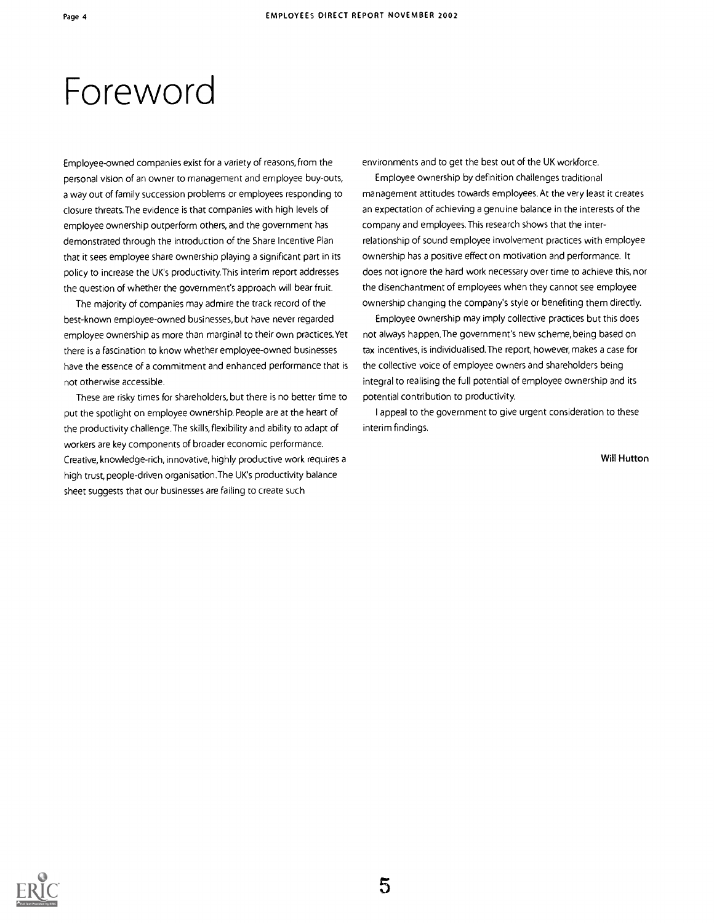### Foreword

Employee-owned companies exist for a variety of reasons, from the personal vision of an owner to management and employee buy-outs, a way out of family succession problems or employees responding to closure threats.The evidence is that companies with high levels of employee ownership outperform others, and the government has demonstrated through the introduction of the Share Incentive Plan that it sees employee share ownership playing a significant part in its policy to increase the UK's productivity.This interim report addresses the question of whether the government's approach will bear fruit.

The majority of companies may admire the track record of the best-known employee-owned businesses, but have never regarded employee ownership as more than marginal to their own practices.Yet there is a fascination to know whether employee-owned businesses have the essence of a commitment and enhanced performance that is not otherwise accessible.

These are risky times for shareholders, but there is no better time to put the spotlight on employee ownership. People are at the heart of the productivity challenge.The skills, flexibility and ability to adapt of workers are key components of broader economic performance. Creative, knowledge-rich, innovative, highly productive work requires a high trust, people-driven organisation.The UK's productivity balance sheet suggests that our businesses are failing to create such

environments and to get the best out of the UK workforce.

Employee ownership by definition challenges traditional management attitudes towards employees. At the very least it creates an expectation of achieving a genuine balance in the interests of the company and employees.This research shows that the interrelationship of sound employee involvement practices with employee ownership has a positive effect on motivation and performance. It does not ignore the hard work necessary over time to achieve this, nor the disenchantment of employees when they cannot see employee ownership changing the company's style or benefiting them directly.

Employee ownership may imply collective practices but this does not always happen.The government's new scheme, being based on tax incentives, is individualised.The report, however, makes a case for the collective voice of employee owners and shareholders being integral to realising the full potential of employee ownership and its potential contribution to productivity.

I appeal to the government to give urgent consideration to these interim findings.

#### Will Hutton

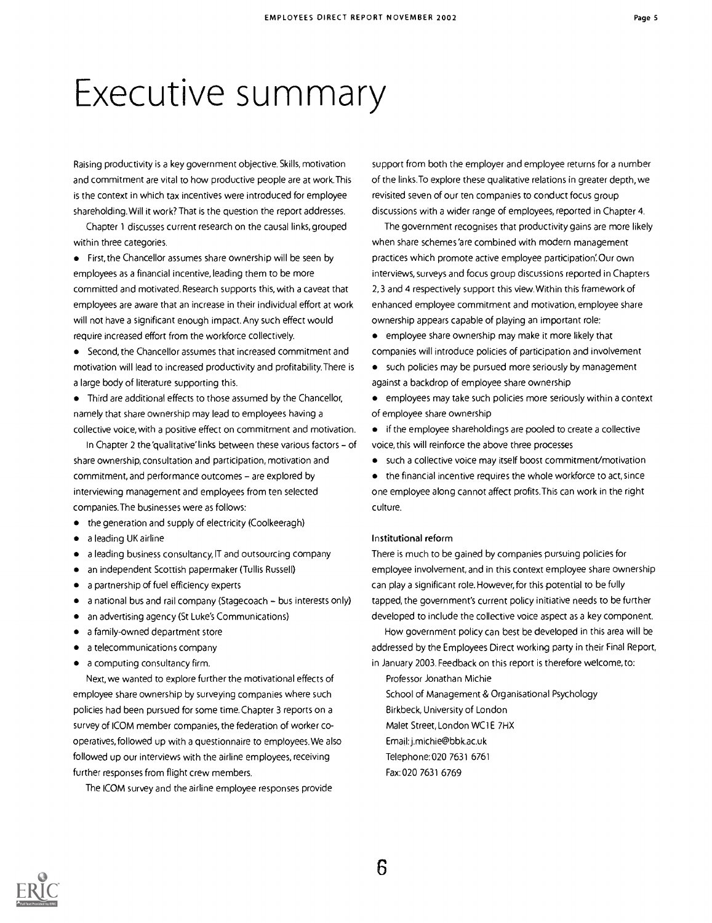### Executive summary

Raising productivity is a key government objective. Skills, motivation and commitment are vital to how productive people are at work.This is the context in which tax incentives were introduced for employee shareholding. Will it work? That is the question the report addresses.

Chapter 1 discusses current research on the causal links, grouped within three categories.

**•** First, the Chancellor assumes share ownership will be seen by employees as a financial incentive, leading them to be more committed and motivated. Research supports this, with a caveat that employees are aware that an increase in their individual effort at work will not have a significant enough impact. Any such effect would require increased effort from the workforce collectively.

Second, the Chancellor assumes that increased commitment and motivation will lead to increased productivity and profitability.There is a large body of literature supporting this.

• Third are additional effects to those assumed by the Chancellor, namely that share ownership may lead to employees having a collective voice, with a positive effect on commitment and motivation.

In Chapter 2 the 'qualitative' links between these various factors - of share ownership, consultation and participation, motivation and commitment, and performance outcomes - are explored by interviewing management and employees from ten selected companies.The businesses were as follows:

- the generation and supply of electricity (Coolkeeragh)  $\bullet$
- $\bullet$ a leading UK airline
- a leading business consultancy, IT and outsourcing company
- an independent Scottish papermaker (Tullis Russell)
- a partnership of fuel efficiency experts
- a national bus and rail company (Stagecoach bus interests only)  $\bullet$
- an advertising agency (St Luke's Communications)
- $\bullet$ a family-owned department store
- a telecommunications company
- a computing consultancy firm.  $\bullet$

Next, we wanted to explore further the motivational effects of employee share ownership by surveying companies where such policies had been pursued for some time. Chapter 3 reports on a survey of ICOM member companies, the federation of worker cooperatives, followed up with a questionnaire to employees. We also followed up our interviews with the airline employees, receiving further responses from flight crew members.

The ICOM survey and the airline employee responses provide

support from both the employer and employee returns for a number of the links.To explore these qualitative relations in greater depth, we revisited seven of our ten companies to conduct focus group discussions with a wider range of employees, reported in Chapter 4.

The government recognises that productivity gains are more likely when share schemes 'are combined with modern management practices which promote active employee participation'.Our own interviews, surveys and focus group discussions reported in Chapters 2,3 and 4 respectively support this view. Within this framework of enhanced employee commitment and motivation, employee share ownership appears capable of playing an important role:

- employee share ownership may make it more likely that companies will introduce policies of participation and involvement
- such policies may be pursued more seriously by management against a backdrop of employee share ownership
- employees may take such policies more seriously within a context of employee share ownership

if the employee shareholdings are pooled to create a collective voice, this will reinforce the above three processes

such a collective voice may itself boost commitment/motivation

the financial incentive requires the whole workforce to act, since one employee along cannot affect profits.This can work in the right culture.

#### Institutional reform

There is much to be gained by companies pursuing policies for employee involvement, and in this context employee share ownership can play a significant role. However, for this potential to be fully tapped, the government's current policy initiative needs to be further developed to include the collective voice aspect as a key component.

How government policy can best be developed in this area will be addressed by the Employees Direct working party in their final Report, in January 2003. Feedback on this report is therefore welcome, to:

Professor Jonathan Michie

School of Management & Organisational Psychology

Birkbeck, University of London

Malet Street, London WC1E 7HX

Email:j.michie @bbk.ac.uk

Telephone:020 7631 6761

Fax:020 7631 6769

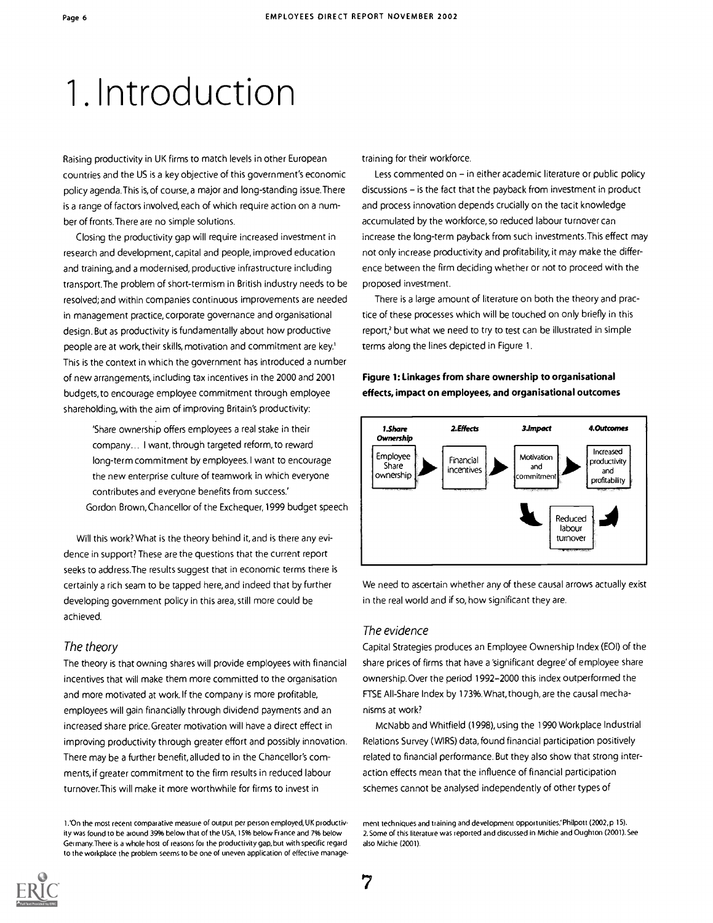## 1. Introduction

Raising productivity in UK firms to match levels in other European countries and the US is a key objective of this government's economic policy agenda.This is, of course, a major and long-standing issue.There is a range of factors involved, each of which require action on a number of fronts.There are no simple solutions.

Closing the productivity gap will require increased investment in research and development, capital and people, improved education and training, and a modernised, productive infrastructure including transport.The problem of short-termism in British industry needs to be resolved; and within companies continuous improvements are needed in management practice, corporate governance and organisational design. But as productivity is fundamentally about how productive people are at work, their skills, motivation and commitment are key.' This is the context in which the government has introduced a number of new arrangements, including tax incentives in the 2000 and 2001 budgets, to encourage employee commitment through employee shareholding, with the aim of improving Britain's productivity:

'Share ownership offers employees a real stake in their company... I want, through targeted reform, to reward long-term commitment by employees. I want to encourage the new enterprise culture of teamwork in which everyone contributes and everyone benefits from success' Gordon Brown,Chancellor of the Exchequer, 1999 budget speech

Will this work? What is the theory behind it, and is there any evidence in support? These are the questions that the current report seeks to address.The results suggest that in economic terms there is certainly a rich seam to be tapped here, and indeed that by further developing government policy in this area, still more could be achieved.

#### The theory

The theory is that owning shares will provide employees with financial incentives that will make them more committed to the organisation and more motivated at work. If the company is more profitable, employees will gain financially through dividend payments and an increased share price. Greater motivation will have a direct effect in improving productivity through greater effort and possibly innovation. There may be a further benefit, alluded to in the Chancellor's comments, if greater commitment to the firm results in reduced labour turnover.This will make it more worthwhile for firms to invest in

training for their workforce.

Less commented on - in either academic literature or public policy discussions - is the fact that the payback from investment in product and process innovation depends crucially on the tacit knowledge accumulated by the workforce, so reduced labour turnover can increase the long-term payback from such investments.This effect may not only increase productivity and profitability, it may make the difference between the firm deciding whether or not to proceed with the proposed investment.

There is a large amount of literature on both the theory and practice of these processes which will be touched on only briefly in this report,<sup>2</sup> but what we need to try to test can be illustrated in simple terms along the lines depicted in Figure 1.

#### Figure 1: Linkages from share ownership to organisational effects, impact on employees, and organisational outcomes



We need to ascertain whether any of these causal arrows actually exist in the real world and if so, how significant they are.

#### The evidence

Capital Strategies produces an Employee Ownership Index (EOI) of the share prices of firms that have a 'significant degree' of employee share ownership. Over the period 1992-2000 this index outperformed the FTSE All-Share Index by 173%. What, though, are the causal mechanisms at work?

McNabb and Whitfield (1998), using the 1990 Workplace Industrial Relations Survey (WIRS) data, found financial participation positively related to financial performance. But they also show that strong interaction effects mean that the influence of financial participation schemes cannot be analysed independently of other types of



<sup>1.&#</sup>x27;On the most recent comparative measure of output per person employed, UK productivity was found to be around 39% below that of the USA, 15% below France and 7% below Germany.There is a whole host of reasons for the productivity gap, but with specific regard to the workplace the problem seems to be one of uneven application of effective manage-

ment techniques and training and development opportunities.'Philpott (2002,p 15). 2. Some of this literature was reported and discussed in Michie and Oughton (2001). See also Michie (2001)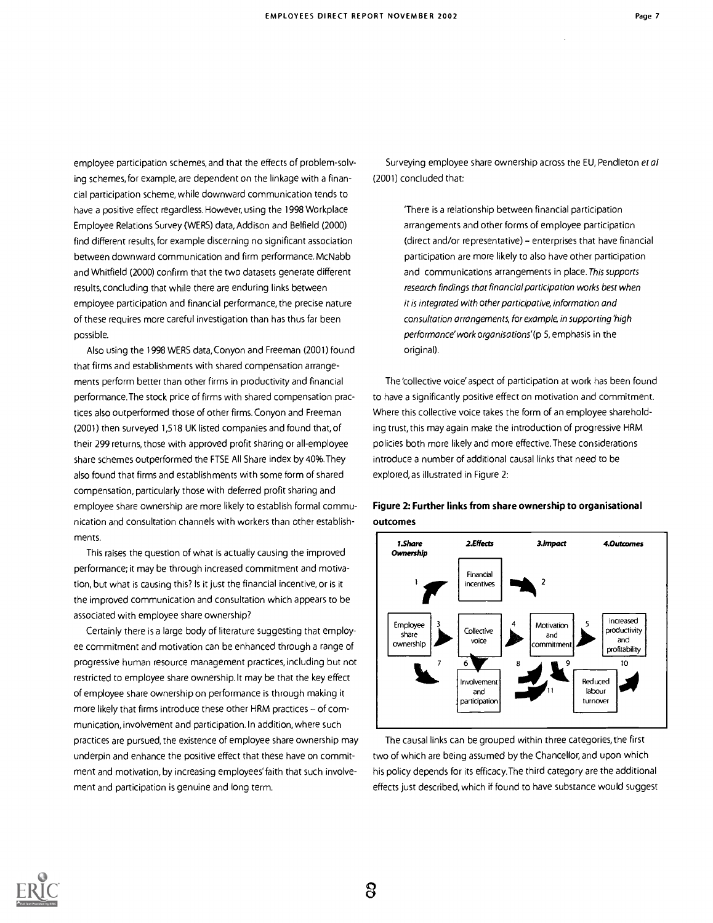employee participation schemes, and that the effects of problem-solving schemes, for example, are dependent on the linkage with a financial participation scheme, while downward communication tends to have a positive effect regardless. However, using the 1998 Workplace Employee Relations Survey (WERS) data, Addison and Belfield (2000) find different results, for example discerning no significant association between downward communication and firm performance. McNabb and Whitfield (2000) confirm that the two datasets generate different results, concluding that while there are enduring links between employee participation and financial performance, the precise nature of these requires more careful investigation than has thus far been possible.

Also using the 1998 WERS data,Conyon and Freeman (2001) found that firms and establishments with shared compensation arrangements perform better than other firms in productivity and financial performance.The stock price of firms with shared compensation practices also outperformed those of other firms. Conyon and Freeman (2001) then surveyed 1,518 UK listed companies and found that, of their 299 returns, those with approved profit sharing or all-employee share schemes outperformed the FTSE All Share index by 40%.They also found that firms and establishments with some form of shared compensation, particularly those with deferred profit sharing and employee share ownership are more likely to establish formal communication and consultation channels with workers than other establishments.

This raises the question of what is actually causing the improved performance; it may be through increased commitment and motivation, but what is causing this? Is it just the financial incentive, or is it the improved communication and consultation which appears to be associated with employee share ownership?

Certainly there is a large body of literature suggesting that employee commitment and motivation can be enhanced through a range of progressive human resource management practices, including but not restricted to employee share ownership. It may be that the key effect of employee share ownership on performance is through making it more likely that firms introduce these other HRM practices  $-$  of communication, involvement and participation.ln addition, where such practices are pursued, the existence of employee share ownership may underpin and enhance the positive effect that these have on commitment and motivation, by increasing employees' faith that such involvement and participation is genuine and long term.

Surveying employee share ownership across the EU, Pendleton et al (2001) concluded that:

> 'There is a relationship between financial participation arrangements and other forms of employee participation (direct and/or representative) - enterprises that have financial participation are more likely to also have other participation and communications arrangements in place. This supports research findings that financial participation works best when it is integrated with other participative, information and consultation arrangements, for example, in supporting 'high performance' work organisations'(p 5, emphasis in the original).

The 'collective voice' aspect of participation at work has been found to have a significantly positive effect on motivation and commitment. Where this collective voice takes the form of an employee shareholding trust, this may again make the introduction of progressive HRM policies both more likely and more effective. These considerations introduce a number of additional causal links that need to be explored, as illustrated in Figure 2:



Figure 2: Further links from share ownership to organisational outcomes

The causal links can be grouped within three categories, the first two of which are being assumed by the Chancellor, and upon which his policy depends for its efficacy.The third category are the additional effects just described, which if found to have substance would suggest

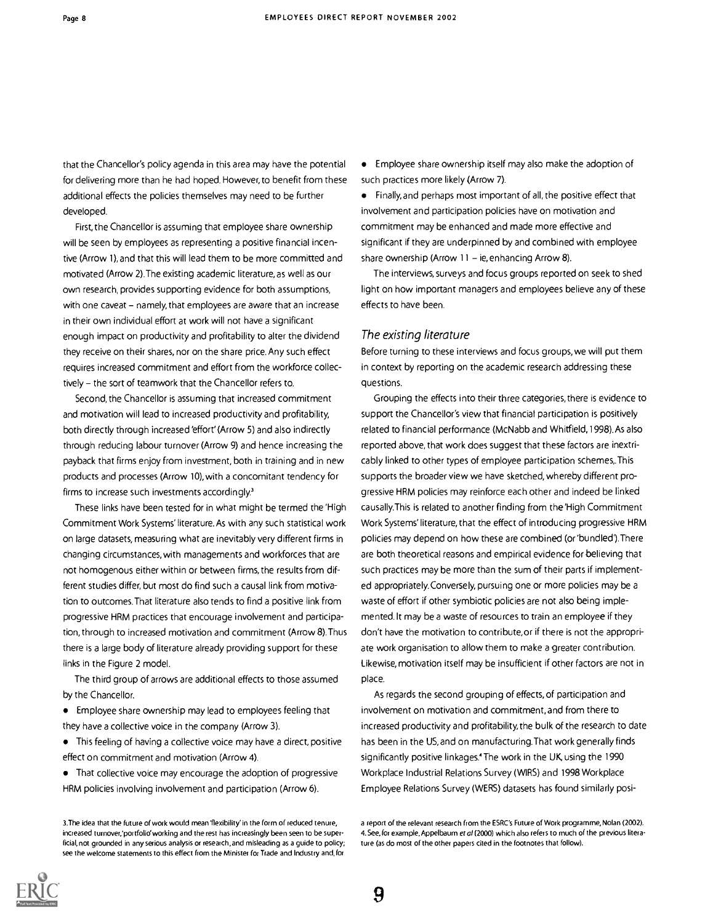that the Chancellor's policy agenda in this area may have the potential for delivering more than he had hoped. However, to benefit from these additional effects the policies themselves may need to be further developed.

First, the Chancellor is assuming that employee share ownership will be seen by employees as representing a positive financial incentive (Arrow 1), and that this will lead them to be more committed and motivated (Arrow 2).The existing academic literature, as well as our own research, provides supporting evidence for both assumptions, with one caveat - namely, that employees are aware that an increase in their own individual effort at work will not have a significant enough impact on productivity and profitability to alter the dividend they receive on their shares, nor on the share price. Any such effect requires increased commitment and effort from the workforce collectively - the sort of teamwork that the Chancellor refers to.

Second, the Chancellor is assuming that increased commitment and motivation will lead to increased productivity and profitability, both directly through increased 'effort' (Arrow 5) and also indirectly through reducing labour turnover (Arrow 9) and hence increasing the payback that firms enjoy from investment, both in training and in new products and processes (Arrow 10), with a concomitant tendency for firms to increase such investments accordingly.'

These links have been tested for in what might be termed the 'High Commitment Work Systems' literature. As with any such statistical work on large datasets, measuring what are inevitably very different firms in changing circumstances, with managements and workforces that are not homogenous either within or between firms, the results from different studies differ, but most do find such a causal link from motivation to outcomes.That literature also tends to find a positive link from progressive HRM practices that encourage involvement and participation, through to increased motivation and commitment (Arrow 8).Thus there is a large body of literature already providing support for these links in the Figure 2 model.

The third group of arrows are additional effects to those assumed by the Chancellor.

Employee share ownership may lead to employees feeling that they have a collective voice in the company (Arrow 3).

This feeling of having a collective voice may have a direct, positive effect on commitment and motivation (Arrow 4).

That collective voice may encourage the adoption of progressive HRM policies involving involvement and participation (Arrow 6).

Employee share ownership itself may also make the adoption of such practices more likely (Arrow 7).

Finally, and perhaps most important of all, the positive effect that involvement and participation policies have on motivation and commitment may be enhanced and made more effective and significant if they are underpinned by and combined with employee share ownership (Arrow  $11 - ie$ , enhancing Arrow 8).

The interviews, surveys and focus groups reported on seek to shed light on how important managers and employees believe any of these effects to have been.

#### The existing literature

Before turning to these interviews and focus groups, we will put them in context by reporting on the academic research addressing these questions.

Grouping the effects into their three categories, there is evidence to support the Chancellor's view that financial participation is positively related to financial performance (McNabb and Whitfield, 1998). As also reported above, that work does suggest that these factors are inextricably linked to other types of employee participation schemes,.This supports the broader view we have sketched, whereby different progressive HRM policies may reinforce each other and indeed be linked causally.This is related to another finding from the 'High Commitment Work Systems' literature, that the effect of introducing progressive HRM policies may depend on how these are combined (or 'bundled'). There are both theoretical reasons and empirical evidence for believing that such practices may be more than the sum of their parts if implemented appropriately.Conversely, pursuing one or more policies may be a waste of effort if other symbiotic policies are not also being implemented.lt may be a waste of resources to train an employee if they don't have the motivation to contribute, or if there is not the appropriate work organisation to allow them to make a greater contribution. Likewise, motivation itself may be insufficient if other factors are not in place.

As regards the second grouping of effects, of participation and involvement on motivation and commitment, and from there to increased productivity and profitability, the bulk of the research to date has been in the US, and on manufacturing.That work generally finds significantly positive linkages' The work in the UK, using the 1990 Workplace Industrial Relations Survey (WIRS) and 1998 Workplace Employee Relations Survey (WERS) datasets has found similarly posi-



<sup>3.</sup>The idea that the future of work would mean 'flexibility' in the form of reduced tenure, increased turnover;portfolio'working and the rest has increasingly been seen to be superficial, not grounded in any serious analysis or research, and misleading as a guide to policy; see the welcome statements to this effect from the Minister for Trade and Industry and, for

a report of the relevant research from the ESRC's Future of Work programme, Nolan (2002). 4. See, for example, Appelbaum et al (2000) which also refers to much of the previous literature (as do most of the other papers cited in the footnotes that follow).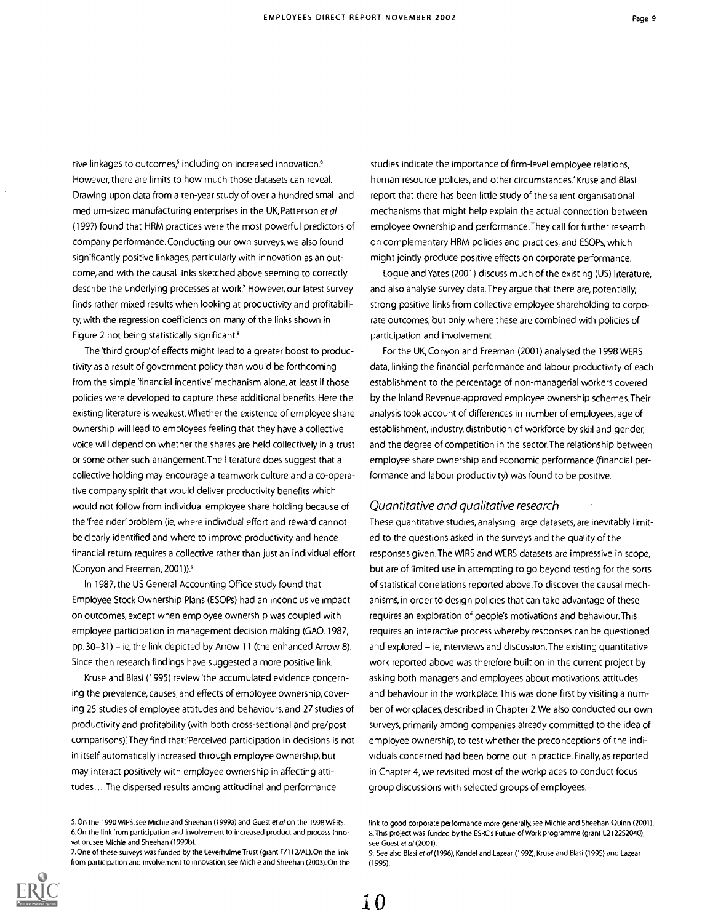tive linkages to outcomes,<sup>5</sup> including on increased innovation.<sup>6</sup> However, there are limits to how much those datasets can reveal. Drawing upon data from a ten-year study of over a hundred small and medium-sized manufacturing enterprises in the UK, Patterson et al (1997) found that HRM practices were the most powerful predictors of company performance. Conducting our own surveys, we also found significantly positive linkages, particularly with innovation as an outcome, and with the causal links sketched above seeming to correctly describe the underlying processes at work.' However, our latest survey finds rather mixed results when looking at productivity and profitability, with the regression coefficients on many of the links shown in Figure 2 not being statistically significant.<sup>8</sup>

The 'third group'of effects might lead to a greater boost to productivity as a result of government policy than would be forthcoming from the simple 'financial incentive' mechanism alone, at least if those policies were developed to capture these additional benefits. Here the existing literature is weakest. Whether the existence of employee share ownership will lead to employees feeling that they have a collective voice will depend on whether the shares are held collectively in a trust or some other such arrangement.The literature does suggest that a collective holding may encourage a teamwork culture and a co-operative company spirit that would deliver productivity benefits which would not follow from individual employee share holding because of the'free rider' problem (ie, where individual effort and reward cannot be clearly identified and where to improve productivity and hence financial return requires a collective rather than just an individual effort (Conyon and Freeman, 2001)).9

In 1987, the US General Accounting Office study found that Employee Stock Ownership Plans (ESOPs) had an inconclusive impact on outcomes, except when employee ownership was coupled with employee participation in management decision making (GA0,1987, pp.  $30-31$ ) – ie, the link depicted by Arrow 11 (the enhanced Arrow 8). Since then research findings have suggested a more positive link.

Kruse and Blasi (1995) review'the accumulated evidence concerning the prevalence, causes, and effects of employee ownership, covering 25 studies of employee attitudes and behaviours, and 27 studies of productivity and profitability (with both cross-sectional and pre/post comparisons)'.They find that:'Perceived participation in decisions is not in itself automatically increased through employee ownership, but may interact positively with employee ownership in affecting attitudes... The dispersed results among attitudinal and performance

7. One of these surveys was funded by the Leverhulme Trust (grant F/112/AL). On the link from participation and involvement to innovation, see Michie and Sheehan (2003).0n the

studies indicate the importance of firm-level employee relations, human resource policies, and other circumstances.' Kruse and Blasi report that there has been little study of the salient organisational mechanisms that might help explain the actual connection between employee ownership and performance.They call for further research on complementary HRM policies and practices, and ESOPs, which might jointly produce positive effects on corporate performance.

Logue and Yates (2001) discuss much of the existing (US) literature, and also analyse survey data.They argue that there are, potentially, strong positive links from collective employee shareholding to corporate outcomes, but only where these are combined with policies of participation and involvement.

For the UK, Conyon and Freeman (2001) analysed the 1998 WERS data, linking the financial performance and labour productivity of each establishment to the percentage of non-managerial workers covered by the Inland Revenue-approved employee ownership schemes.Their analysis took account of differences in number of employees, age of establishment, industry, distribution of workforce by skill and gender, and the degree of competition in the sector.The relationship between employee share ownership and economic performance (financial performance and labour productivity) was found to be positive.

#### Quantitative and qualitative research

These quantitative studies, analysing large datasets, are inevitably limited to the questions asked in the surveys and the quality of the responses given.The WIRS and WERS datasets are impressive in scope, but are of limited use in attempting to go beyond testing for the sorts of statistical correlations reported above.To discover the causal mechanisms, in order to design policies that can take advantage of these, requires an exploration of people's motivations and behaviour.This requires an interactive process whereby responses can be questioned and explored – ie, interviews and discussion. The existing quantitative work reported above was therefore built on in the current project by asking both managers and employees about motivations, attitudes and behaviour in the workplace.This was done first by visiting a number of workplaces, described in Chapter 2. We also conducted our own surveys, primarily among companies already committed to the idea of employee ownership, to test whether the preconceptions of the individuals concerned had been borne out in practice. Finally, as reported in Chapter 4, we revisited most of the workplaces to conduct focus group discussions with selected groups of employees.



<sup>5.0</sup>n the 1990 WIRS, see Michie and Sheehan (1999a) and Guest et al on the 1998 WERS. 6.0n the link from participation and involvement to increased product and process innovation, see Michie and Sheehan (1999b).

link to good corporate performance more generally, see Michie and Sheehan-Quinn (2001). 8.This project was funded by the ESRC's Future of Work programme (grant L212252040); see Guest et al (2001).

<sup>9.</sup> See also Blasi et al (1996), Kandel and Lazear (1992), Kruse and Blasi (1995) and Lazear (1995).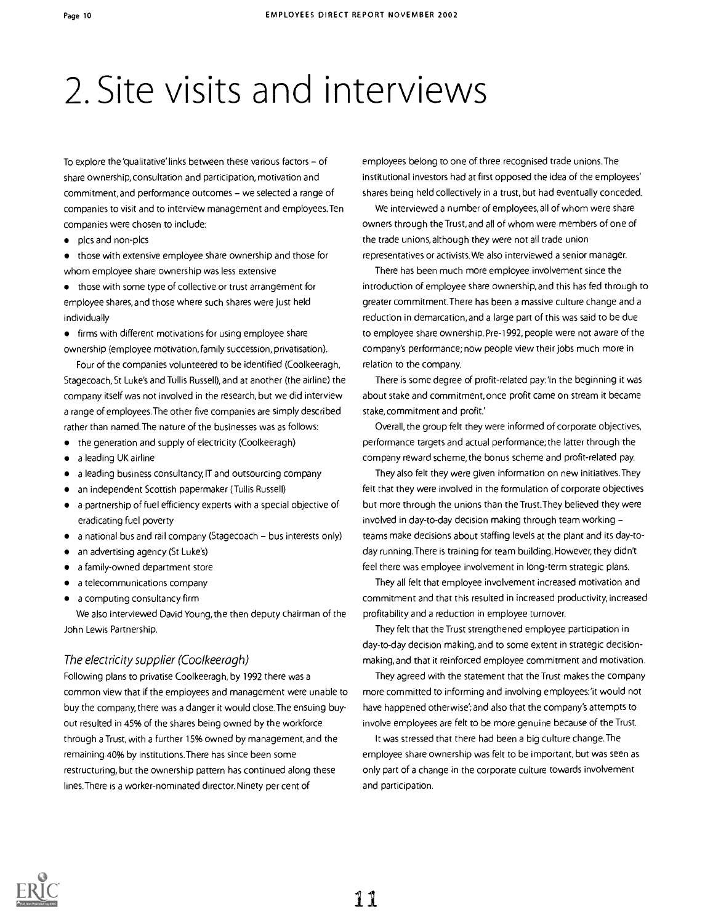## 2. Site visits and interviews

To explore the 'qualitative' links between these various factors  $-$  of share ownership, consultation and participation, motivation and commitment, and performance outcomes - we selected a range of companies to visit and to interview management and employees.Ten companies were chosen to include:

plcs and non-plcs

those with extensive employee share ownership and those for whom employee share ownership was less extensive

those with some type of collective or trust arrangement for employee shares, and those where such shares were just held individually

**•** firms with different motivations for using employee share ownership (employee motivation, family succession, privatisation).

Four of the companies volunteered to be identified (Coolkeeragh, Stagecoach, St Luke's and Tullis Russell), and at another (the airline) the company itself was not involved in the research, but we did interview a range of employees.The other five companies are simply described rather than named.The nature of the businesses was as follows:

- the generation and supply of electricity (Coolkeeragh)
- a leading UK airline
- a leading business consultancy, IT and outsourcing company
- an independent Scottish papermaker (Tullis Russell)
- a partnership of fuel efficiency experts with a special objective of eradicating fuel poverty
- a national bus and rail company (Stagecoach bus interests only)
- an advertising agency (St Luke's)  $\bullet$
- a family-owned department store
- a telecommunications company
- a computing consultancy firm

We also interviewed David Young, the then deputy chairman of the John Lewis Partnership.

#### The electricity supplier (Coolkeeragh)

Following plans to privatise Coolkeeragh, by 1992 there was a common view that if the employees and management were unable to buy the company, there was a danger it would close.The ensuing buyout resulted in 45% of the shares being owned by the workforce through a Trust, with a further 15% owned by management, and the remaining 40% by institutions.There has since been some restructuring, but the ownership pattern has continued along these lines.There is a worker-nominated director. Ninety per cent of

employees belong to one of three recognised trade unions.The institutional investors had at first opposed the idea of the employees' shares being held collectively in a trust, but had eventually conceded.

We interviewed a number of employees, all of whom were share owners through the Trust, and all of whom were members of one of the trade unions, although they were not all trade union representatives or activists. We also interviewed a senior manager.

There has been much more employee involvement since the introduction of employee share ownership, and this has fed through to greater commitment.There has been a massive culture change and a reduction in demarcation, and a large part of this was said to be due to employee share ownership. Pre-1992, people were not aware of the company's performance; now people view their jobs much more in relation to the company.

There is some degree of profit-related pay: 'In the beginning it was about stake and commitment, once profit came on stream it became stake, commitment and profit.'

Overall, the group felt they were informed of corporate objectives, performance targets and actual performance; the latter through the company reward scheme, the bonus scheme and profit-related pay.

They also felt they were given information on new initiatives.They felt that they were involved in the formulation of corporate objectives but more through the unions than the Trust.They believed they were involved in day-to-day decision making through team working teams make decisions about staffing levels at the plant and its day-today running. There is training for team building. However, they didn't feel there was employee involvement in long-term strategic plans.

They all felt that employee involvement increased motivation and commitment and that this resulted in increased productivity, increased profitability and a reduction in employee turnover.

They felt that the Trust strengthened employee participation in day-to-day decision making, and to some extent in strategic decisionmaking, and that it reinforced employee commitment and motivation.

They agreed with the statement that the Trust makes the company more committed to informing and involving employees:'it would not have happened otherwise'; and also that the company's attempts to involve employees are felt to be more genuine because of the Trust.

It was stressed that there had been a big culture change.The employee share ownership was felt to be important, but was seen as only part of a change in the corporate culture towards involvement and participation.

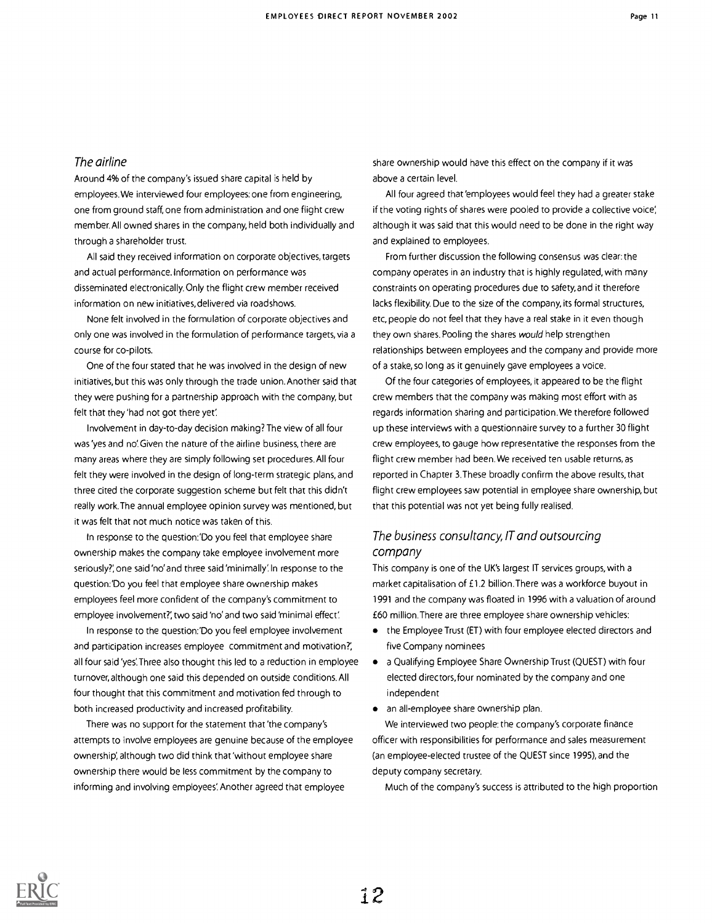#### The airline

Around 4% of the company's issued share capital is held by employees. We interviewed four employees: one from engineering, one from ground staff, one from administration and one flight crew member. All owned shares in the company, held both individually and through a shareholder trust.

All said they received information on corporate objectives, targets and actual performance. Information on performance was disseminated electronically. Only the flight crew member received information on new initiatives, delivered via roadshows.

None felt involved in the formulation of corporate objectives and only one was involved in the formulation of performance targets, via a course for co-pilots.

One of the four stated that he was involved in the design of new initiatives, but this was only through the trade union. Another said that they were pushing for a partnership approach with the company, but felt that they 'had not got there yet

Involvement in day-to-day decision making? The view of all four was'yes and no:Given the nature of the airline business, there are many areas where they are simply following set procedures. All four felt they were involved in the design of long-term strategic plans, and three cited the corporate suggestion scheme but felt that this didn't really work.The annual employee opinion survey was mentioned, but it was felt that not much notice was taken of this.

In response to the question:'Do you feel that employee share ownership makes the company take employee involvement more seriously?', one said 'no' and three said 'minimally'. In response to the question:'Do you feel that employee share ownership makes employees feel more confident of the company's commitment to employee involvement?' two said 'no' and two said 'minimal effect'.

In response to the question:'Do you feel employee involvement and participation increases employee commitment and motivation?', all four said 'yes'. Three also thought this led to a reduction in employee turnover, although one said this depended on outside conditions. All four thought that this commitment and motivation fed through to both increased productivity and increased profitability.

There was no support for the statement that 'the company's attempts to involve employees are genuine because of the employee ownership; although two did think that 'without employee share ownership there would be less commitment by the company to informing and involving employees'. Another agreed that employee

share ownership would have this effect on the company if it was above a certain level.

All four agreed that 'employees would feel they had a greater stake if the voting rights of shares were pooled to provide a collective voice; although it was said that this would need to be done in the right way and explained to employees.

From further discussion the following consensus was clear: the company operates in an industry that is highly regulated, with many constraints on operating procedures due to safety, and it therefore lacks flexibility. Due to the size of the company, its formal structures, etc, people do not feel that they have a real stake in it even though they own shares. Pooling the shares would help strengthen relationships between employees and the company and provide more of a stake, so long as it genuinely gave employees a voice.

Of the four categories of employees, it appeared to be the flight crew members that the company was making most effort with as regards information sharing and participation. We therefore followed up these interviews with a questionnaire survey to a further 30 flight crew employees, to gauge how representative the responses from the flight crew member had been. We received ten usable returns, as reported in Chapter 3.These broadly confirm the above results, that flight crew employees saw potential in employee share ownership, but that this potential was not yet being fully realised.

#### The business consultancy, IT and outsourcing company

This company is one of the UK's largest IT services groups, with a market capitalisation of £1.2 billion.There was a workforce buyout in 1991 and the company was floated in 1996 with a valuation of around £60 million.There are three employee share ownership vehicles:

- the Employee Trust (ET) with four employee elected directors and five Company nominees
- a Qualifying Employee Share Ownership Trust (QUEST) with four elected directors, four nominated by the company and one independent
- an all-employee share ownership plan.

We interviewed two people: the company's corporate finance officer with responsibilities for performance and sales measurement (an employee-elected trustee of the QUEST since 1995), and the deputy company secretary.

Much of the company's success is attributed to the high proportion

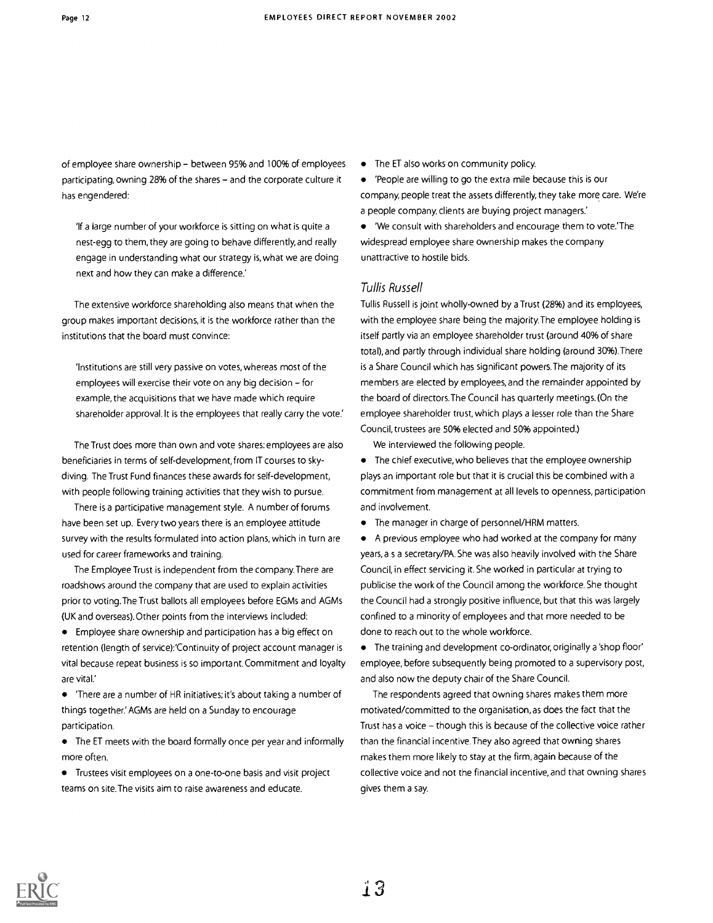of employee share ownership - between 95% and 100% of employees participating, owning 28% of the shares - and the corporate culture it has engendered:

If a large number of your workforce is sitting on what is quite a nest-egg to them, they are going to behave differently, and really engage in understanding what our strategy is, what we are doing next and how they can make a difference.'

The extensive workforce shareholding also means that when the group makes important decisions, it is the workforce rather than the institutions that the board must convince:

'Institutions are still very passive on votes, whereas most of the employees will exercise their vote on any big decision  $-$  for example, the acquisitions that we have made which require shareholder approval. It is the employees that really carry the vote.'

The Trust does more than own and vote shares: employees are also beneficiaries in terms of self-development, from IT courses to skydiving. The Trust Fund finances these awards for self-development, with people following training activities that they wish to pursue.

There is a participative management style. A number of forums have been set up. Every two years there is an employee attitude survey with the results formulated into action plans, which in turn are used for career frameworks and training.

The Employee Trust is independent from the company.There are roadshows around the company that are used to explain activities prior to voting.The Trust ballots all employees before EGMs and AGMs (UK and overseas). Other points from the interviews included:

Employee share ownership and participation has a big effect on retention (length of service):'Continuity of project account manager is vital because repeat business is so important. Commitment and loyalty are vital.'

'There are a number of HR initiatives; it's about taking a number of things together.' AGMs are held on a Sunday to encourage participation.

The ET meets with the board formally once per year and informally more often.

Trustees visit employees on a one-to-one basis and visit project teams on site.The visits aim to raise awareness and educate.

• The ET also works on community policy.

'People are willing to go the extra mile because this is our company, people treat the assets differently, they take more care. We're a people company, clients are buying project managers.'

'We consult with shareholders and encourage them to vote.'The widespread employee share ownership makes the company unattractive to hostile bids.

#### Tullis Russell

Tullis Russell is joint wholly-owned by a Trust (28%) and its employees, with the employee share being the majority. The employee holding is itself partly via an employee shareholder trust (around 40% of share total), and partly through individual share holding (around 30%).There is a Share Council which has significant powers.The majority of its members are elected by employees, and the remainder appointed by the board of directors.The Council has quarterly meetings. (On the employee shareholder trust, which plays a lesser role than the Share Council, trustees are 50% elected and 50% appointed.)

We interviewed the following people.

The chief executive, who believes that the employee ownership plays an important role but that it is crucial this be combined with a commitment from management at all levels to openness, participation and involvement.

The manager in charge of personnel/HRM matters.

A previous employee who had worked at the company for many years, a s a secretary/PA. She was also heavily involved with the Share Council, in effect servicing it. She worked in particular at trying to publicise the work of the Council among the workforce. She thought the Council had a strongly positive influence, but that this was largely confined to a minority of employees and that more needed to be done to reach out to the whole workforce.

The training and development co-ordinator, originally a 'shop floor' employee, before subsequently being promoted to a supervisory post, and also now the deputy chair of the Share Council.

The respondents agreed that owning shares makes them more motivated/committed to the organisation, as does the fact that the Trust has a voice - though this is because of the collective voice rather than the financial incentive. They also agreed that owning shares makes them more likely to stay at the firm, again because of the collective voice and not the financial incentive, and that owning shares gives them a say.

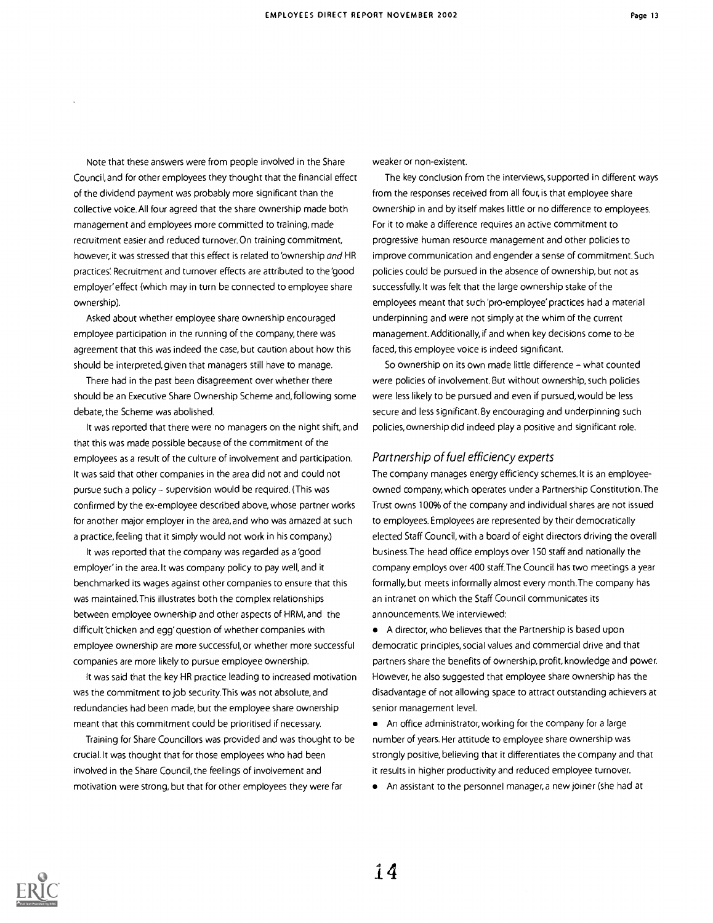Note that these answers were from people involved in the Share Council, and for other employees they thought that the financial effect of the dividend payment was probably more significant than the collective voice. All four agreed that the share ownership made both management and employees more committed to training, made recruitment easier and reduced turnover.On training commitment, however, it was stressed that this effect is related to 'ownership and HR practices' Recruitment and turnover effects are attributed to the 'good employer' effect (which may in turn be connected to employee share ownership).

Asked about whether employee share ownership encouraged employee participation in the running of the company, there was agreement that this was indeed the case, but caution about how this should be interpreted, given that managers still have to manage.

There had in the past been disagreement over whether there should be an Executive Share Ownership Scheme and, following some debate, the Scheme was abolished.

It was reported that there were no managers on the night shift, and that this was made possible because of the commitment of the employees as a result of the culture of involvement and participation. It was said that other companies in the area did not and could not pursue such a policy  $\sim$  supervision would be required. (This was confirmed by the ex-employee described above, whose partner works for another major employer in the area, and who was amazed at such a practice, feeling that it simply would not work in his company.)

It was reported that the company was regarded as a 'good employer' in the area.lt was company policy to pay well, and it benchmarked its wages against other companies to ensure that this was maintained.This illustrates both the complex relationships between employee ownership and other aspects of HRM, and the difficult 'chicken and egg' question of whether companies with employee ownership are more successful, or whether more successful companies are more likely to pursue employee ownership.

It was said that the key HR practice leading to increased motivation was the commitment to job security.This was not absolute, and redundancies had been made, but the employee share ownership meant that this commitment could be prioritised if necessary.

Training for Share Councillors was provided and was thought to be crucial.lt was thought that for those employees who had been involved in the Share Council, the feelings of involvement and motivation were strong, but that for other employees they were far

weaker or non-existent.

The key conclusion from the interviews, supported in different ways from the responses received from all four, is that employee share ownership in and by itself makes little or no difference to employees. For it to make a difference requires an active commitment to progressive human resource management and other policies to improve communication and engender a sense of commitment. Such policies could be pursued in the absence of ownership, but not as successfully. It was felt that the large ownership stake of the employees meant that such 'pro-employee' practices had a material underpinning and were not simply at the whim of the current management. Additionally, if and when key decisions come to be faced, this employee voice is indeed significant.

So ownership on its own made little difference - what counted were policies of involvement. But without ownership, such policies were less likely to be pursued and even if pursued, would be less secure and less significant. By encouraging and underpinning such policies, ownership did indeed play a positive and significant role.

#### Partnership of fuel efficiency experts

The company manages energy efficiency schemes.lt is an employeeowned company, which operates under a Partnership Constitution.The Trust owns 100% of the company and individual shares are not issued to employees. Employees are represented by their democratically elected Staff Council, with a board of eight directors driving the overall business.The head office employs over 150 staff and nationally the company employs over 400 staff.The Council has two meetings a year formally, but meets informally almost every month.The company has an intranet on which the Staff Council communicates its announcements.We interviewed:

A director, who believes that the Partnership is based upon democratic principles, social values and commercial drive and that partners share the benefits of ownership, profit, knowledge and power. However, he also suggested that employee share ownership has the disadvantage of not allowing space to attract outstanding achievers at senior management level.

An office administrator, working for the company for a large number of years. Her attitude to employee share ownership was strongly positive, believing that it differentiates the company and that it results in higher productivity and reduced employee turnover.

An assistant to the personnel manager, a new joiner (she had at

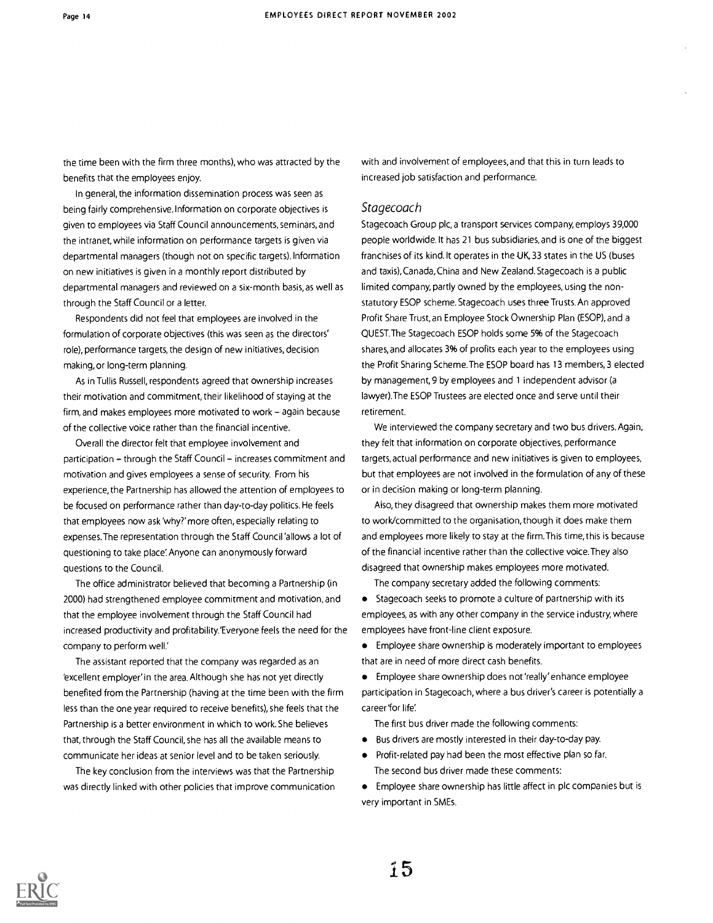the time been with the firm three months), who was attracted by the benefits that the employees enjoy.

In general, the information dissemination process was seen as being fairly comprehensive. Information on corporate objectives is given to employees via Staff Council announcements, seminars, and the intranet, while information on performance targets is given via departmental managers (though not on specific targets). Information on new initiatives is given in a monthly report distributed by departmental managers and reviewed on a six-month basis, as well as through the Staff Council or a letter.

Respondents did not feel that employees are involved in the formulation of corporate objectives (this was seen as the directors' role), performance targets, the design of new initiatives, decision making, or long-term planning.

As in Tullis Russell, respondents agreed that ownership increases their motivation and commitment, their likelihood of staying at the firm, and makes employees more motivated to work  $-$  again because of the collective voice rather than the financial incentive.

Overall the director felt that employee involvement and participation - through the Staff Council - increases commitment and motivation and gives employees a sense of security. From his experience, the Partnership has allowed the attention of employees to be focused on performance rather than day-to-day politics. He feels that employees now ask 'why?' more often, especially relating to expenses.The representation through the Staff Council 'allows a lot of questioning to take place' Anyone can anonymously forward questions to the Council.

The office administrator believed that becoming a Partnership (in 2000) had strengthened employee commitment and motivation, and that the employee involvement through the Staff Council had increased productivity and profitability.'Everyone feels the need for the company to perform well.'

The assistant reported that the company was regarded as an 'excellent employer' in the area. Although she has not yet directly benefited from the Partnership (having at the time been with the firm less than the one year required to receive benefits), she feels that the Partnership is a better environment in which to work. She believes that, through the Staff Council, she has all the available means to communicate her ideas at senior level and to be taken seriously.

The key conclusion from the interviews was that the Partnership was directly linked with other policies that improve communication with and involvement of employees, and that this in turn leads to increased job satisfaction and performance.

#### Stagecoach

Stagecoach Group plc, a transport services company, employs 39,000 people worldwide. It has 21 bus subsidiaries, and is one of the biggest franchises of its kind. It operates in the UK, 33 states in the US (buses and taxis), Canada, China and New Zealand. Stagecoach is a public limited company, partly owned by the employees, using the nonstatutory ESOP scheme. Stagecoach uses three Trusts. An approved Profit Share Trust, an Employee Stock Ownership Plan (ESOP), and a QUEST.The Stagecoach ESOP holds some 5% of the Stagecoach shares, and allocates 3% of profits each year to the employees using the Profit Sharing Scheme. The ESOP board has 13 members, 3 elected by management, 9 by employees and 1 independent advisor (a lawyer).The ESOP Trustees are elected once and serve until their retirement.

We interviewed the company secretary and two bus drivers. Again, they felt that information on corporate objectives, performance targets, actual performance and new initiatives is given to employees, but that employees are not involved in the formulation of any of these or in decision making or long-term planning.

Also, they disagreed that ownership makes them more motivated to work/committed to the organisation, though it does make them and employees more likely to stay at the firm.This time, this is because of the financial incentive rather than the collective voice.They also disagreed that ownership makes employees more motivated.

The company secretary added the following comments:

Stagecoach seeks to promote a culture of partnership with its employees, as with any other company in the service industry, where employees have front-line client exposure.

Employee share ownership is moderately important to employees that are in need of more direct cash benefits.

Employee share ownership does not 'really' enhance employee participation in Stagecoach, where a bus driver's career is potentially a career 'for life

The first bus driver made the following comments:

- Bus drivers are mostly interested in their day-to-day pay.
- Profit-related pay had been the most effective plan so far. The second bus driver made these comments:
- Employee share ownership has little affect in plc companies but is very important in SMEs.

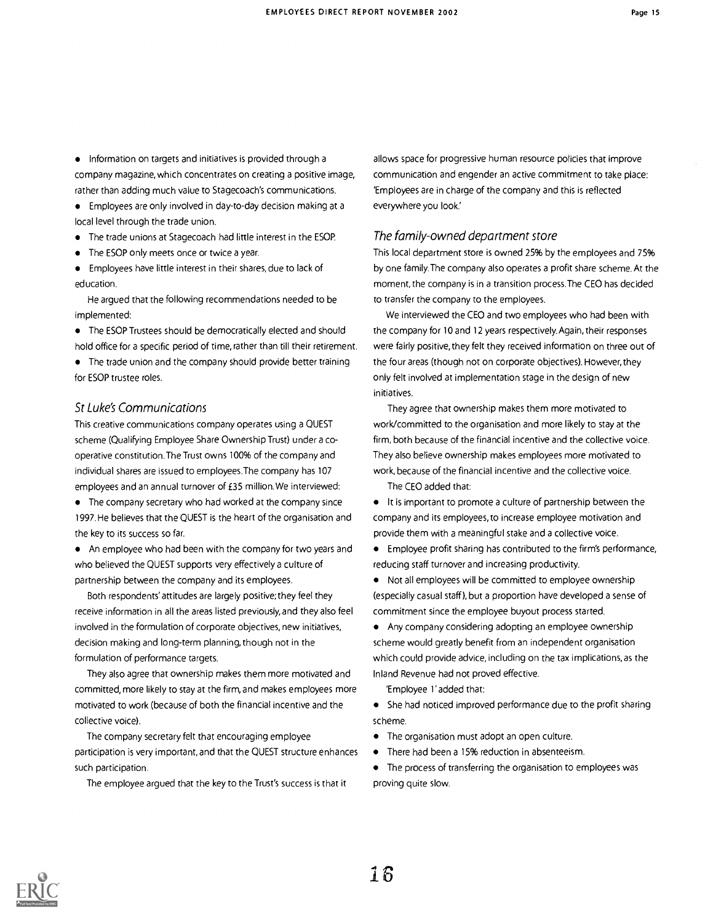• Information on targets and initiatives is provided through a company magazine, which concentrates on creating a positive image, rather than adding much value to Stagecoach's communications.

Employees are only involved in day-to-day decision making at a local level through the trade union.

- The trade unions at Stagecoach had little interest in the ESOP.
- The ESOP only meets once or twice a year.

Employees have little interest in their shares, due to lack of education.

He argued that the following recommendations needed to be implemented:

The ESOP Trustees should be democratically elected and should hold office for a specific period of time, rather than till their retirement.

The trade union and the company should provide better training for ESOP trustee roles.

#### St Luke's Communications

This creative communications company operates using a QUEST scheme (Qualifying Employee Share Ownership Trust) under a cooperative constitution.The Trust owns 100% of the company and individual shares are issued to employees.The company has 107 employees and an annual turnover of £35 million. We interviewed:

The company secretary who had worked at the company since 1997. He believes that the QUEST is the heart of the organisation and the key to its success so far.

An employee who had been with the company for two years and who believed the QUEST supports very effectively a culture of partnership between the company and its employees.

Both respondents' attitudes are largely positive; they feel they receive information in all the areas listed previously, and they also feel involved in the formulation of corporate objectives, new initiatives, decision making and long-term planning, though not in the formulation of performance targets.

They also agree that ownership makes them more motivated and committed, more likely to stay at the firm, and makes employees more motivated to work (because of both the financial incentive and the collective voice).

The company secretary felt that encouraging employee participation is very important, and that the QUEST structure enhances such participation.

The employee argued that the key to the Trust's success is that it

allows space for progressive human resource policies that improve communication and engender an active commitment to take place: 'Employees are in charge of the company and this is reflected everywhere you look.'

#### The family-owned department store

This local department store is owned 25% by the employees and 75% by one family.The company also operates a profit share scheme. At the moment, the company is in a transition process.The CEO has decided to transfer the company to the employees.

We interviewed the CEO and two employees who had been with the company for 10 and 12 years respectively. Again, their responses were fairly positive, they felt they received information on three out of the four areas (though not on corporate objectives). However, they only felt involved at implementation stage in the design of new initiatives.

They agree that ownership makes them more motivated to work/committed to the organisation and more likely to stay at the firm, both because of the financial incentive and the collective voice. They also believe ownership makes employees more motivated to work, because of the financial incentive and the collective voice.

The CEO added that:

- It is important to promote a culture of partnership between the company and its employees, to increase employee motivation and provide them with a meaningful stake and a collective voice.
- Employee profit sharing has contributed to the firm's performance, reducing staff turnover and increasing productivity.
- Not all employees will be committed to employee ownership (especially casual staff), but a proportion have developed a sense of commitment since the employee buyout process started.
- Any company considering adopting an employee ownership scheme would greatly benefit from an independent organisation which could provide advice, including on the tax implications, as the Inland Revenue had not proved effective.

'Employee 1'added that:

- She had noticed improved performance due to the profit sharing scheme.
- The organisation must adopt an open culture.  $\bullet$
- There had been a 15% reduction in absenteeism.
- The process of transferring the organisation to employees was proving quite slow.

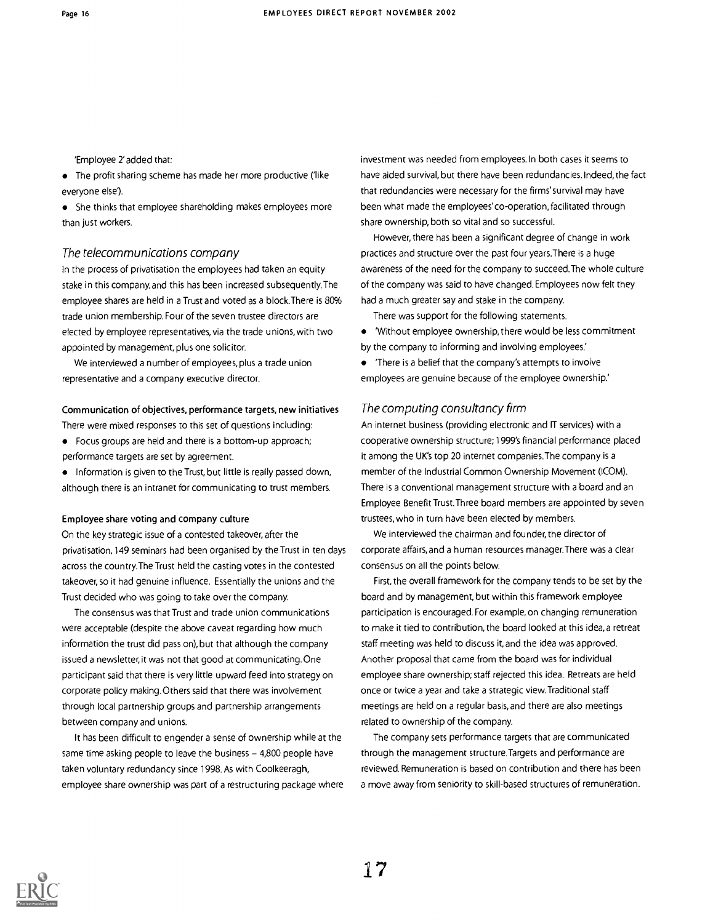'Employee 2' added that:

• The profit sharing scheme has made her more productive ('like everyone else').

She thinks that employee shareholding makes employees more than just workers.

#### The telecommunications company

In the process of privatisation the employees had taken an equity stake in this company, and this has been increased subsequently.The employee shares are held in a Trust and voted as a block.There is 80% trade union membership. Four of the seven trustee directors are elected by employee representatives, via the trade unions, with two appointed by management, plus one solicitor.

We interviewed a number of employees, plus a trade union representative and a company executive director.

Communication of objectives, performance targets, new initiatives There were mixed responses to this set of questions including:

- Focus groups are held and there is a bottom-up approach; performance targets are set by agreement.
- Information is given to the Trust, but little is really passed down, although there is an intranet for communicating to trust members.

#### Employee share voting and company culture

On the key strategic issue of a contested takeover, after the privatisation, 149 seminars had been organised by the Trust in ten days across the country.The Trust held the casting votes in the contested takeover, so it had genuine influence. Essentially the unions and the Trust decided who was going to take over the company.

The consensus was that Trust and trade union communications were acceptable (despite the above caveat regarding how much information the trust did pass on), but that although the company issued a newsletter, it was not that good at communicating. One participant said that there is very little upward feed into strategy on corporate policy making. Others said that there was involvement through local partnership groups and partnership arrangements between company and unions.

It has been difficult to engender a sense of ownership while at the same time asking people to leave the business  $-4,800$  people have taken voluntary redundancy since 1998. As with Coolkeeragh, employee share ownership was part of a restructuring package where investment was needed from employees. In both cases it seems to have aided survival, but there have been redundancies. Indeed, the fact that redundancies were necessary for the firms' survival may have been what made the employees'co-operation, facilitated through share ownership, both so vital and so successful.

However, there has been a significant degree of change in work practices and structure over the past four years.There is a huge awareness of the need for the company to succeed.The whole culture of the company was said to have changed. Employees now felt they had a much greater say and stake in the company.

There was support for the following statements.

- 'Without employee ownership, there would be less commitment by the company to informing and involving employees'
- 'There is a belief that the company's attempts to involve employees are genuine because of the employee ownership.'

#### The computing consultancy firm

An internet business (providing electronic and IT services) with a cooperative ownership structure; 1999's financial performance placed it among the UK's top 20 internet companies.The company is a member of the Industrial Common Ownership Movement (ICOM). There is a conventional management structure with a board and an Employee Benefit Trust.Three board members are appointed by seven trustees, who in turn have been elected by members.

We interviewed the chairman and founder, the director of corporate affairs, and a human resources manager.There was a clear consensus on all the points below.

First, the overall framework for the company tends to be set by the board and by management, but within this framework employee participation is encouraged. For example, on changing remuneration to make it tied to contribution, the board looked at this idea, a retreat staff meeting was held to discuss it, and the idea was approved. Another proposal that came from the board was for individual employee share ownership; staff rejected this idea. Retreats are held once or twice a year and take a strategic view. Traditional staff meetings are held on a regular basis, and there are also meetings related to ownership of the company.

The company sets performance targets that are communicated through the management structure.Targets and performance are reviewed. Remuneration is based on contribution and there has been a move away from seniority to skill-based structures of remuneration.

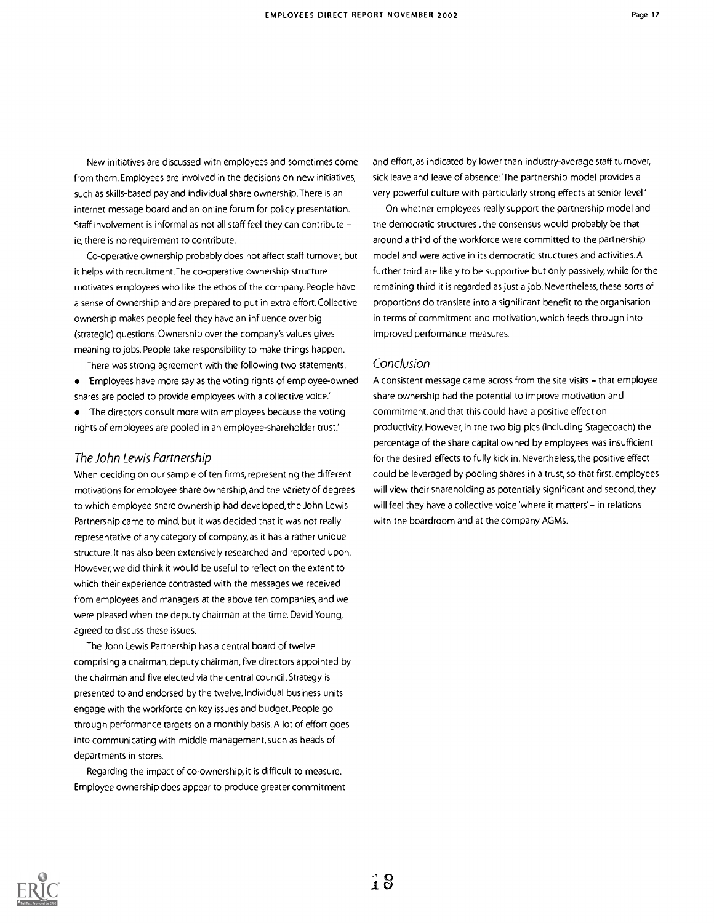New initiatives are discussed with employees and sometimes come from them. Employees are involved in the decisions on new initiatives, such as skills-based pay and individual share ownership.There is an internet message board and an online forum for policy presentation. Staff involvement is informal as not all staff feel they can contribute ie, there is no requirement to contribute.

Co-operative ownership probably does not affect staff turnover, but it helps with recruitment.The co-operative ownership structure motivates employees who like the ethos of the company. People have a sense of ownership and are prepared to put in extra effort. Collective ownership makes people feel they have an influence over big (strategic) questions. Ownership over the company's values gives meaning to jobs. People take responsibility to make things happen.

There was strong agreement with the following two statements. 'Employees have more say as the voting rights of employee-owned shares are pooled to provide employees with a collective voice.'

'The directors consult more with employees because the voting rights of employees are pooled in an employee-shareholder trust.'

#### The John Lewis Partnership

When deciding on our sample of ten firms, representing the different motivations for employee share ownership, and the variety of degrees to which employee share ownership had developed, the John Lewis Partnership came to mind, but it was decided that it was not really representative of any category of company, as it has a rather unique structure.lt has also been extensively researched and reported upon. However, we did think it would be useful to reflect on the extent to which their experience contrasted with the messages we received from employees and managers at the above ten companies, and we were pleased when the deputy chairman at the time, David Young, agreed to discuss these issues.

The John Lewis Partnership has a central board of twelve comprising a chairman, deputy chairman, five directors appointed by the chairman and five elected via the central council. Strategy is presented to and endorsed by the twelve. Individual business units engage with the workforce on key issues and budget. People go through performance targets on a monthly basis. A lot of effort goes into communicating with middle management, such as heads of departments in stores.

Regarding the impact of co-ownership, it is difficult to measure. Employee ownership does appear to produce greater commitment and effort, as indicated by lower than industry-average staff turnover, sick leave and leave of absence:'The partnership model provides a very powerful culture with particularly strong effects at senior level.'

On whether employees really support the partnership model and the democratic structures , the consensus would probably be that around a third of the workforce were committed to the partnership model and were active in its democratic structures and activities.A further third are likely to be supportive but only passively, while for the remaining third it is regarded as just a job. Nevertheless, these sorts of proportions do translate into a significant benefit to the organisation in terms of commitment and motivation, which feeds through into improved performance measures.

#### Conclusion

A consistent message came across from the site visits - that employee share ownership had the potential to improve motivation and commitment, and that this could have a positive effect on productivity. However, in the two big plcs (including Stagecoach) the percentage of the share capital owned by employees was insufficient for the desired effects to fully kick in. Nevertheless, the positive effect could be leveraged by pooling shares in a trust, so that first, employees will view their shareholding as potentially significant and second, they will feel they have a collective voice 'where it matters'- in relations with the boardroom and at the company AGMs.

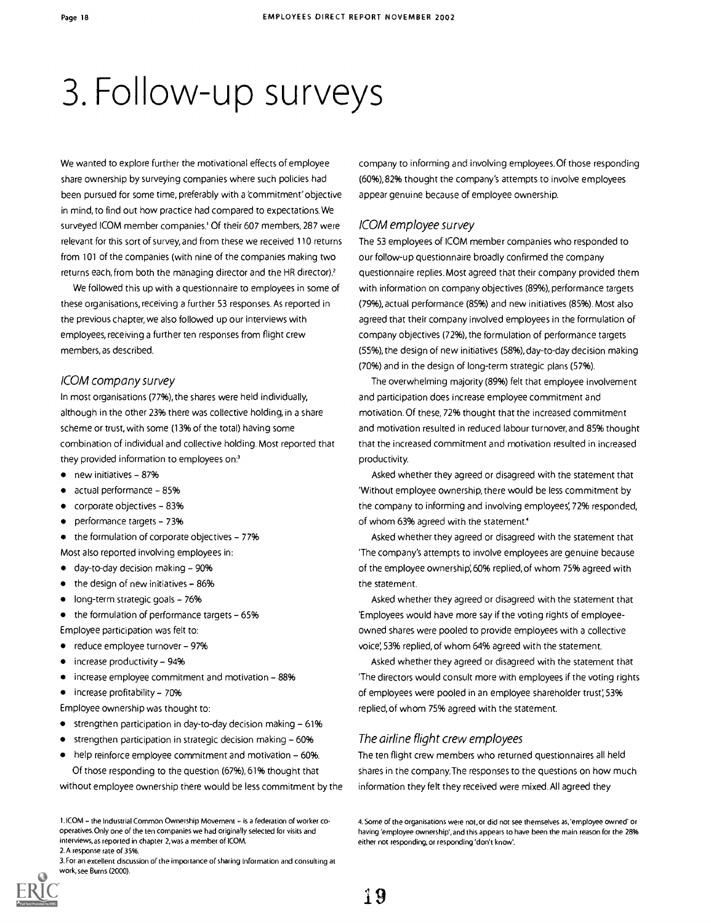## 3. Follow-up surveys

We wanted to explore further the motivational effects of employee share ownership by surveying companies where such policies had been pursued for some time, preferably with a 'commitment' objective in mind, to find out how practice had compared to expectations. We surveyed ICOM member companies.' Of their 607 members, 287 were relevant for this sort of survey, and from these we received 110 returns from 101 of the companies (with nine of the companies making two returns each, from both the managing director and the HR director)?

We followed this up with a questionnaire to employees in some of these organisations, receiving a further 53 responses. As reported in the previous chapter, we also followed up our interviews with employees, receiving a further ten responses from flight crew members, as described.

#### 1COM company survey

In most organisations (77%), the shares were held individually, although in the other 23% there was collective holding, in a share scheme or trust, with some (13% of the total) having some combination of individual and collective holding. Most reported that they provided information to employees on'

- $\bullet$  new initiatives 87%
- $\bullet$  actual performance  $-85%$
- corporate objectives 83%  $\bullet$
- $\bullet$  performance targets 73%

 $\bullet$  the formulation of corporate objectives - 77%

- Most also reported involving employees in:
- $\bullet$  day-to-day decision making  $-90\%$
- $\bullet$  the design of new initiatives 86%
- $\bullet$  long-term strategic goals 76%

 $\bullet$  the formulation of performance targets  $-65\%$ 

- Employee participation was felt to:
- $\bullet$  reduce employee turnover 97%
- $\bullet$  increase productivity 94%
- $\bullet$  increase employee commitment and motivation 88%

 $\bullet$  increase profitability - 70%

- Employee ownership was thought to:
- $\bullet$  strengthen participation in day-to-day decision making  $-61\%$
- strengthen participation in strategic decision making  $-60\%$
- $\bullet$  help reinforce employee commitment and motivation 60%. Of those responding to the question (67%), 61% thought that

without employee ownership there would be less commitment by the

2.A response rate of 35%.

company to informing and involving employees. Of those responding (60%), 82% thought the company's attempts to involve employees appear genuine because of employee ownership.

#### ICOM employee survey

The 53 employees of ICOM member companies who responded to our follow-up questionnaire broadly confirmed the company questionnaire replies. Most agreed that their company provided them with information on company objectives (89%), performance targets (79%), actual performance (85%) and new initiatives (85%). Most also agreed that their company involved employees in the formulation of company objectives (72%), the formulation of performance targets (55%), the design of new initiatives (58%), day-to-day decision making (70%) and in the design of long-term strategic plans (57%).

The overwhelming majority (89%) felt that employee involvement and participation does increase employee commitment and motivation. Of these, 72% thought that the increased commitment and motivation resulted in reduced labour turnover, and 85% thought that the increased commitment and motivation resulted in increased productivity.

Asked whether they agreed or disagreed with the statement that 'Without employee ownership, there would be less commitment by the company to informing and involving employees; 72% responded, of whom 63% agreed with the statement'

Asked whether they agreed or disagreed with the statement that 'The company's attempts to involve employees are genuine because of the employee ownership', 60% replied, of whom 75% agreed with the statement.

Asked whether they agreed or disagreed with the statement that 'Employees would have more say if the voting rights of employeeowned shares were pooled to provide employees with a collective voice', 53% replied, of whom 64% agreed with the statement.

Asked whether they agreed or disagreed with the statement that 'The directors would consult more with employees if the voting rights of employees were pooled in an employee shareholder trust; 53% replied, of whom 75% agreed with the statement.

#### The airline flight crew employees

The ten flight crew members who returned questionnaires all held shares in the company.The responses to the questions on how much information they felt they received were mixed. All agreed they

t.ICOM - the Industrial Common Ownership Movement - is a federation of worker cooperatives. Only one of the ten companies we had originally selected for visits and interviews,as reported in chapter 2, was a member of ICOM.

<sup>3.</sup>For an excellent discussion of the importance of sharing information and consulting at work, see Burns (2000).

<sup>4.</sup> Some of the organisations were not, or did not see themselves as,'employee owned' or having 'employee ownership', and this appears to have been the main reason for the 28% either not responding, or responding 'don't know'.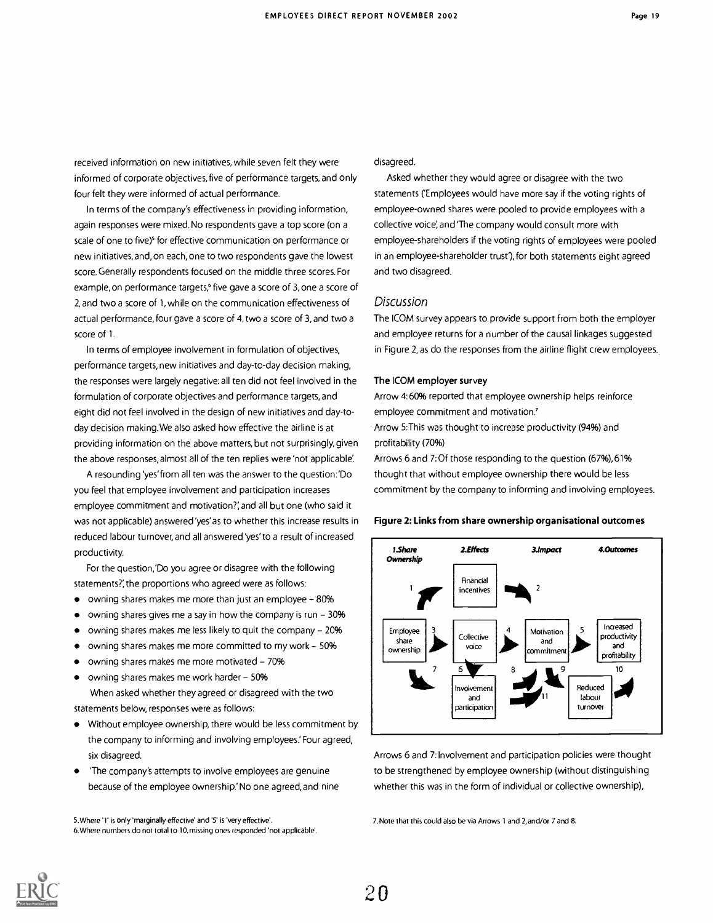received information on new initiatives, while seven felt they were informed of corporate objectives, five of performance targets, and only four felt they were informed of actual performance.

In terms of the company's effectiveness in providing information, again responses were mixed. No respondents gave a top score (on a scale of one to five)<sup>5</sup> for effective communication on performance or new initiatives, and, on each, one to two respondents gave the lowest score. Generally respondents focused on the middle three scores. For example, on performance targets,<sup>6</sup> five gave a score of 3, one a score of 2, and two a score of 1, while on the communication effectiveness of actual performance, four gave a score of 4, two a score of 3, and two a score of 1.

In terms of employee involvement in formulation of objectives, performance targets, new initiatives and day-to-day decision making, the responses were largely negative: all ten did not feel involved in the formulation of corporate objectives and performance targets, and eight did not feel involved in the design of new initiatives and day-today decision making. We also asked how effective the airline is at providing information on the above matters, but not surprisingly, given the above responses, almost all of the ten replies were 'not applicable

A resounding 'yes' from all ten was the answer to the question:'Do you feel that employee involvement and participation increases employee commitment and motivation?; and all but one (who said it was not applicable) answered 'yes'as to whether this increase results in reduced labour turnover, and all answered 'yes'to a result of increased productivity.

For the question:'Do you agree or disagree with the following statements?', the proportions who agreed were as follows:

- owning shares makes me more than just an employee 80%
- owning shares gives me a say in how the company is run  $-30%$
- owning shares makes me less likely to quit the company 20%
- owning shares makes me more committed to my work  $-50%$
- owning shares makes me more motivated 70%  $\bullet$
- owning shares makes me work harder 50%

When asked whether they agreed or disagreed with the two statements below, responses were as follows:

- Without employee ownership, there would be less commitment by  $\bullet$ the company to informing and involving employees' Four agreed, six disagreed.
- 'The company's attempts to involve employees are genuine because of the employee ownership.' No one agreed, and nine

5.Where '1' is only 'marginally effective' and '5' is 'very effective'. 6.Where numbers do not total to 10, missing ones responded 'not applicable'.

#### disagreed.

Asked whether they would agree or disagree with the two statements ('Employees would have more say if the voting rights of employee-owned shares were pooled to provide employees with a collective voice; and 'The company would consult more with employee-shareholders if the voting rights of employees were pooled in an employee-shareholder trust'), for both statements eight agreed and two disagreed.

#### Discussion

The ICOM survey appears to provide support from both the employer and employee returns for a number of the causal linkages suggested in Figure 2, as do the responses from the airline flight crew employees.

#### The ICOM employer survey

Arrow 4:60% reported that employee ownership helps reinforce employee commitment and motivation.'

Arrow 5:This was thought to increase productivity (94%) and profitability (70%)

Arrows 6 and 7: Of those responding to the question (67%), 61% thought that without employee ownership there would be less commitment by the company to informing and involving employees.

#### Figure 2: Links from share ownership organisational outcomes



Arrows 6 and 7: Involvement and participation policies were thought to be strengthened by employee ownership (without distinguishing whether this was in the form of individual or collective ownership),

7. Note that this could also be via Arrows 1 and 2, and/or 7 and 8.

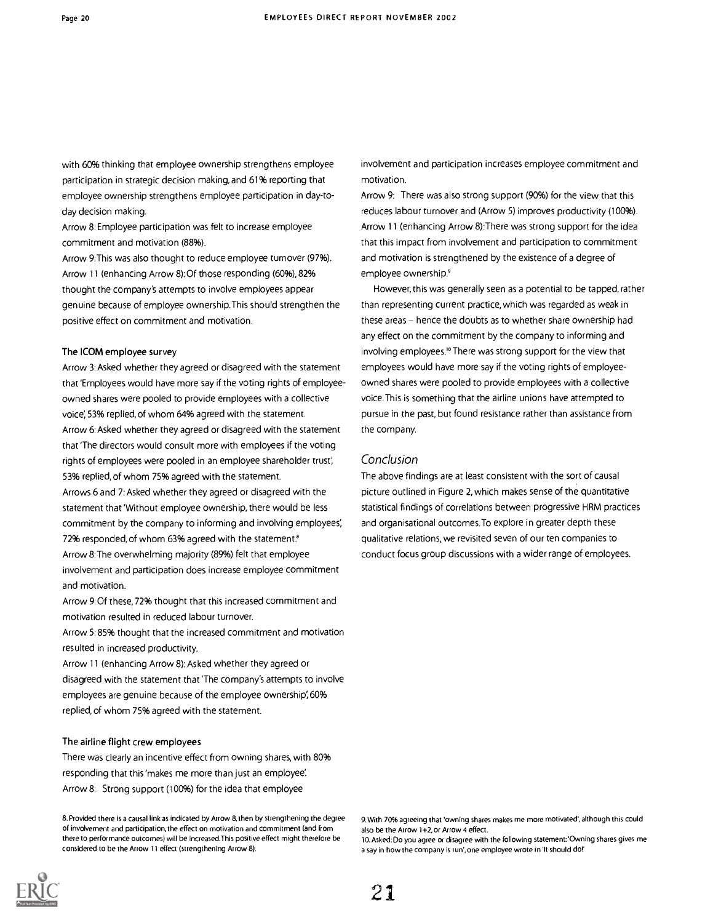with 60% thinking that employee ownership strengthens employee participation in strategic decision making, and 61% reporting that employee ownership strengthens employee participation in day-today decision making.

Arrow 8: Employee participation was felt to increase employee commitment and motivation (88%).

Arrow 9:This was also thought to reduce employee turnover (97%). Arrow 11 (enhancing Arrow 8): Of those responding (60%), 82% thought the company's attempts to involve employees appear genuine because of employee ownership.This should strengthen the positive effect on commitment and motivation.

#### The ICOM employee survey

Arrow 3: Asked whether they agreed or disagreed with the statement that 'Employees would have more say if the voting rights of employeeowned shares were pooled to provide employees with a collective voice; 53% replied, of whom 64% agreed with the statement. Arrow 6: Asked whether they agreed or disagreed with the statement that 'The directors would consult more with employees if the voting rights of employees were pooled in an employee shareholder trust; 53% replied, of whom 75% agreed with the statement.

Arrows 6 and 7: Asked whether they agreed or disagreed with the statement that 'Without employee ownership, there would be less commitment by the company to informing and involving employees; 72% responded, of whom 63% agreed with the statement.<sup>8</sup>

Arrow 8:The overwhelming majority (89%) felt that employee involvement and participation does increase employee commitment and motivation.

Arrow 9:Of these, 72% thought that this increased commitment and motivation resulted in reduced labour turnover.

Arrow 5:85% thought that the increased commitment and motivation resulted in increased productivity.

Arrow 11 (enhancing Arrow 8): Asked whether they agreed or disagreed with the statement that 'The company's attempts to involve employees are genuine because of the employee ownership; 60% replied, of whom 75% agreed with the statement.

#### The airline flight crew employees

There was clearly an incentive effect from owning shares, with 80% responding that this'makes me more than just an employee; Arrow 8: Strong support (100%) for the idea that employee

8. Provided there is a causal link as indicated by Arrow 8, then by strengthening the degree of involvement and participation, the effect on motivation and commitment (and from there to performance outcomes) will be increased.This positive effect might therefore be considered to be the Arrow 11 effect (strengthening Arrow 8).

involvement and participation increases employee commitment and motivation.

Arrow 9: There was also strong support (90%) for the view that this reduces labour turnover and (Arrow 5) improves productivity (100%). Arrow 11 (enhancing Arrow 8):There was strong support for the idea that this impact from involvement and participation to commitment and motivation is strengthened by the existence of a degree of employee ownership.<sup>9</sup>

However, this was generally seen as a potential to be tapped, rather than representing current practice, which was regarded as weak in these areas - hence the doubts as to whether share ownership had any effect on the commitment by the company to informing and involving employees.'°There was strong support for the view that employees would have more say if the voting rights of employeeowned shares were pooled to provide employees with a collective voice. This is something that the airline unions have attempted to pursue in the past, but found resistance rather than assistance from the company.

#### Conclusion

The above findings are at least consistent with the sort of causal picture outlined in Figure 2, which makes sense of the quantitative statistical findings of correlations between progressive HRM practices and organisational outcomes.To explore in greater depth these qualitative relations, we revisited seven of our ten companies to conduct focus group discussions with a wider range of employees.



10. Asked: Do you agree or disagree with the following statement:'Owning shares gives me a say in how the company is run', one employee wrote in 'It should do!'

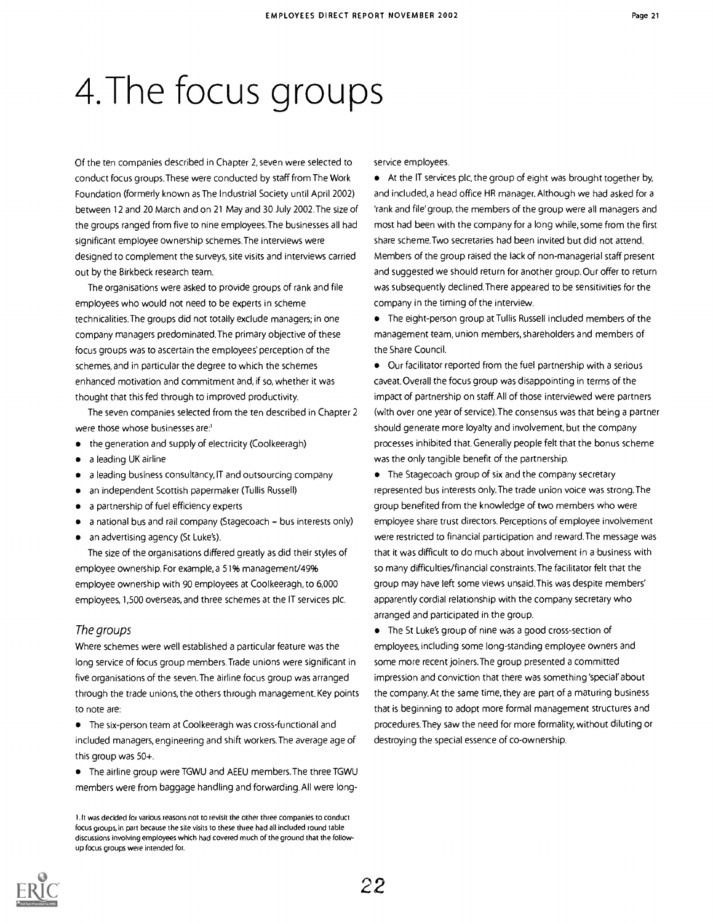# 4.The focus groups

Of the ten companies described in Chapter 2, seven were selected to conduct focus groups.These were conducted by staff from The Work Foundation (formerly known as The Industrial Society until April 2002) between 12 and 20 March and on 21 May and 30 July 2002.The size of the groups ranged from five to nine employees.The businesses all had significant employee ownership schemes.The interviews were designed to complement the surveys, site visits and interviews carried out by the Birkbeck research team.

The organisations were asked to provide groups of rank and file employees who would not need to be experts in scheme technicalities.The groups did not totally exclude managers; in one company managers predominated.The primary objective of these focus groups was to ascertain the employees' perception of the schemes, and in particular the degree to which the schemes enhanced motivation and commitment and, if so, whether it was thought that this fed through to improved productivity.

The seven companies selected from the ten described in Chapter 2 were those whose businesses are:'

- the generation and supply of electricity (Coolkeeragh)
- a leading UK airline
- a leading business consultancy, IT and outsourcing company
- an independent Scottish papermaker (Tullis Russell)
- a partnership of fuel efficiency experts  $\bullet$
- a national bus and rail company (Stagecoach bus interests only)  $\bullet$
- an advertising agency (St Luke's).  $\bullet$

The size of the organisations differed greatly as did their styles of employee ownership. For example, a 51% management/49% employee ownership with 90 employees at Coolkeeragh, to 6,000 employees, 1,500 overseas, and three schemes at the IT services plc.

#### The groups

Where schemes were well established a particular feature was the long service of focus group members.Trade unions were significant in five organisations of the seven.The airline focus group was arranged through the trade unions, the others through management. Key points to note are:

The six-person team at Coolkeeragh was cross-functional and included managers, engineering and shift workers.The average age of this group was 50+.

The airline group were TGWU and AEEU members.The three TGWU members were from baggage handling and forwarding. All were longservice employees.

At the IT services plc, the group of eight was brought together by, and included, a head office HR manager. Although we had asked for a 'rank and file' group, the members of the group were all managers and most had been with the company for a long while, some from the first share scheme.Two secretaries had been invited but did not attend. Members of the group raised the lack of non-managerial staff present and suggested we should return for another group.Our offer to return was subsequently declined.There appeared to be sensitivities for the company in the timing of the interview.

The eight-person group at Tullis Russell included members of the management team, union members, shareholders and members of the Share Council.

Our facilitator reported from the fuel partnership with a serious caveat. Overall the focus group was disappointing in terms of the impact of partnership on staff. All of those interviewed were partners (with over one year of service).The consensus was that being a partner should generate more loyalty and involvement, but the company processes inhibited that. Generally people felt that the bonus scheme was the only tangible benefit of the partnership.

• The Stagecoach group of six and the company secretary represented bus interests only.The trade union voice was strong.The group benefited from the knowledge of two members who were employee share trust directors. Perceptions of employee involvement were restricted to financial participation and reward.The message was that it was difficult to do much about involvement in a business with so many difficulties/financial constraints. The facilitator felt that the group may have left some views unsaid.This was despite members' apparently cordial relationship with the company secretary who arranged and participated in the group.

The St Luke's group of nine was a good cross-section of employees, including some long-standing employee owners and some more recent joiners.The group presented a committed impression and conviction that there was something 'special'about the company. At the same time, they are part of a maturing business that is beginning to adopt more formal management structures and procedures.They saw the need for more formality, without diluting or destroying the special essence of co-ownership.



lit was decided for various reasons not to revisit the other three companies to conduct focus groups, in part because the site visits to these three had all included round table discussions involving employees which had covered much of the ground that the followup focus groups were intended for.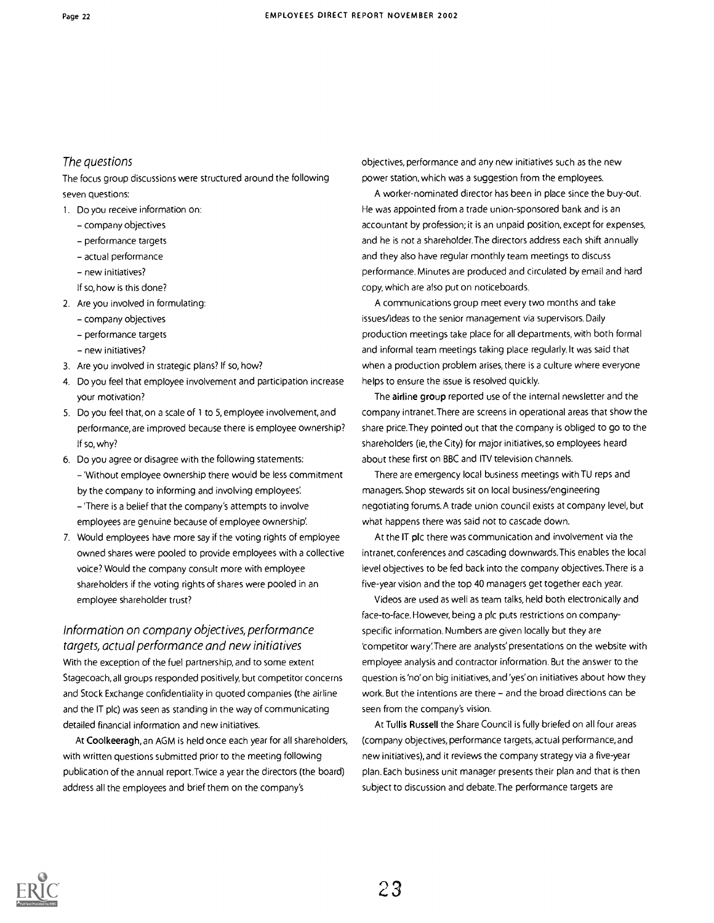#### The questions

The focus group discussions were structured around the following seven questions:

1. Do you receive information on:

- company objectives
- performance targets
- actual performance
- new initiatives?
- If so, how is this done?
- 2. Are you involved in formulating:
	- company objectives
	- performance targets
	- new initiatives?
- 3. Are you involved in strategic plans? If so, how?
- 4. Do you feel that employee involvement and participation increase your motivation?
- 5. Do you feel that, on a scale of 1 to 5, employee involvement, and performance, are improved because there is employee ownership? If so, why?
- 6. Do you agree or disagree with the following statements: 'Without employee ownership there would be less commitment by the company to informing and involving employees: 'There is a belief that the company's attempts to involve employees are genuine because of employee ownership.
- 7. Would employees have more say if the voting rights of employee owned shares were pooled to provide employees with a collective voice? Would the company consult more with employee shareholders if the voting rights of shares were pooled in an employee shareholder trust?

Information on company objectives, performance targets, actual performance and new initiatives

With the exception of the fuel partnership, and to some extent Stagecoach, all groups responded positively, but competitor concerns and Stock Exchange confidentiality in quoted companies (the airline and the IT plc) was seen as standing in the way of communicating detailed financial information and new initiatives.

At Coolkeeragh, an AGM is held once each year for all shareholders, with written questions submitted prior to the meeting following publication of the annual report.Twice a year the directors (the board) address all the employees and brief them on the company's

objectives, performance and any new initiatives such as the new power station, which was a suggestion from the employees.

A worker-nominated director has been in place since the buy-out. He was appointed from a trade union-sponsored bank and is an accountant by profession; it is an unpaid position, except for expenses, and he is not a shareholder.The directors address each shift annually and they also have regular monthly team meetings to discuss performance. Minutes are produced and circulated by email and hard copy, which are also put on noticeboards.

A communications group meet every two months and take issues/ideas to the senior management via supervisors. Daily production meetings take place for all departments, with both formal and informal team meetings taking place regularly. It was said that when a production problem arises, there is a culture where everyone helps to ensure the issue is resolved quickly.

The airline group reported use of the internal newsletter and the company intranet.There are screens in operational areas that show the share price.They pointed out that the company is obliged to go to the shareholders (ie, the City) for major initiatives, so employees heard about these first on BBC and ITV television channels.

There are emergency local business meetings with TU reps and managers. Shop stewards sit on local business/engineering negotiating forums. A trade union council exists at company level, but what happens there was said not to cascade down.

At the IT plc there was communication and involvement via the intranet,conferences and cascading downwards.This enables the local level objectives to be fed back into the company objectives.There is a five-year vision and the top 40 managers get together each year.

Videos are used as well as team talks, held both electronically and face-to-face. However, being a plc puts restrictions on companyspecific information. Numbers are given locally but they are 'competitor wary:There are analysts' presentations on the website with employee analysis and contractor information. But the answer to the question is 'no'on big initiatives, and 'yes' on initiatives about how they work. But the intentions are there - and the broad directions can be seen from the company's vision.

At Tullis Russell the Share Council is fully briefed on all four areas (company objectives, performance targets, actual performance, and new initiatives), and it reviews the company strategy via a five-year plan. Each business unit manager presents their plan and that is then subject to discussion and debate.The performance targets are

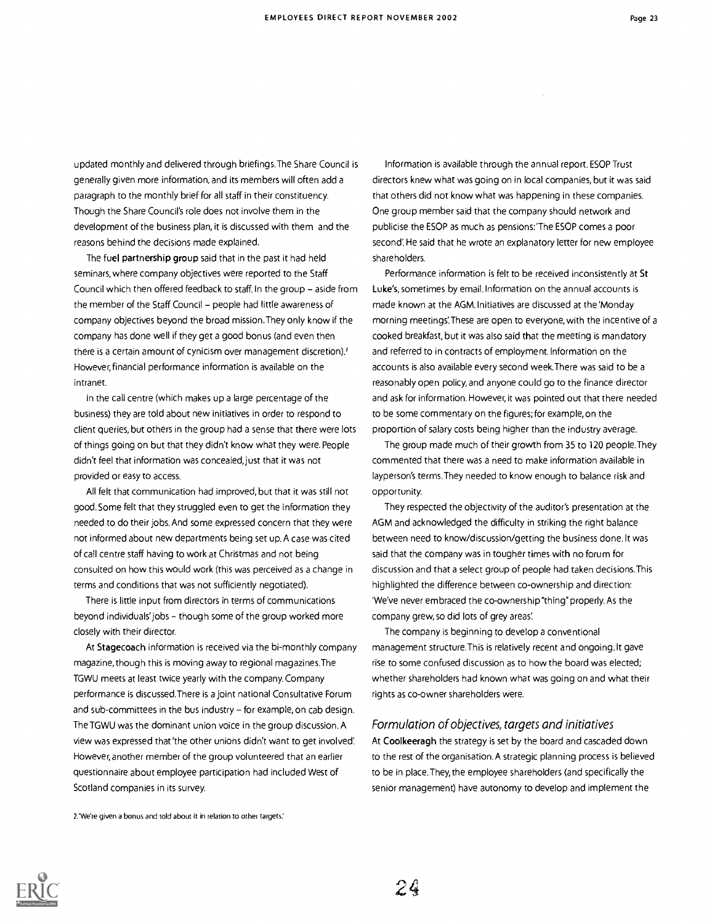updated monthly and delivered through briefings.The Share Council is generally given more information, and its members will often add a paragraph to the monthly brief for all staff in their constituency. Though the Share Council's role does not involve them in the development of the business plan, it is discussed with them and the reasons behind the decisions made explained.

The fuel partnership group said that in the past it had held seminars, where company objectives were reported to the Staff Council which then offered feedback to staff. In the group - aside from the member of the Staff Council – people had little awareness of company objectives beyond the broad mission.They only know if the company has done well if they get a good bonus (and even then there is a certain amount of cynicism over management discretion)? However, financial performance information is available on the intranet.

In the call centre (which makes up a large percentage of the business) they are told about new initiatives in order to respond to client queries, but others in the group had a sense that there were lots of things going on but that they didn't know what they were. People didn't feel that information was concealed, just that it was not provided or easy to access.

All felt that communication had improved, but that it was still not good. Some felt that they struggled even to get the information they needed to do their jobs. And some expressed concern that they were not informed about new departments being set up. A case was cited of call centre staff having to work at Christmas and not being consulted on how this would work (this was perceived as a change in terms and conditions that was not sufficiently negotiated).

There is little input from directors in terms of communications beyond individuals' jobs - though some of the group worked more closely with their director.

At Stagecoach information is received via the bi-monthly company magazine, though this is moving away to regional magazines.The TGWU meets at least twice yearly with the company. Company performance is discussed.There is a joint national Consultative Forum and sub-committees in the bus industry - for example, on cab design. The TGWU was the dominant union voice in the group discussion. A view was expressed that 'the other unions didn't want to get involved: However, another member of the group volunteered that an earlier questionnaire about employee participation had included West of Scotland companies in its survey.

2.'We're given a bonus and told about it in relation to other targets'

Information is available through the annual report. ESOP Trust directors knew what was going on in local companies, but it was said that others did not know what was happening in these companies. One group member said that the company should network and publicise the ESOP as much as pensions:'The ESOP comes a poor second' He said that he wrote an explanatory letter for new employee shareholders.

 $\sim$ 

Performance information is felt to be received inconsistently at St Luke's, sometimes by email. Information on the annual accounts is made known at the AGM. Initiatives are discussed at the 'Monday morning meetings:These are open to everyone, with the incentive of a cooked breakfast, but it was also said that the meeting is mandatory and referred to in contracts of employment. Information on the accounts is also available every second week.There was said to be a reasonably open policy, and anyone could go to the finance director and ask for information. However, it was pointed out that there needed to be some commentary on the figures; for example, on the proportion of salary costs being higher than the industry average.

The group made much of their growth from 35 to 120 people.They commented that there was a need to make information available in layperson's terms.They needed to know enough to balance risk and opportunity.

They respected the objectivity of the auditor's presentation at the AGM and acknowledged the difficulty in striking the right balance between need to know/discussion/getting the business done. It was said that the company was in tougher times with no forum for discussion and that a select group of people had taken decisions.This highlighted the difference between co-ownership and direction: 'We've never embraced the co-ownership "thing" properly. As the company grew, so did lots of grey areas:

The company is beginning to develop a conventional management structure.This is relatively recent and ongoing.lt gave rise to some confused discussion as to how the board was elected; whether shareholders had known what was going on and what their rights as co-owner shareholders were.

#### Formulation of objectives, targets and initiatives

At Coolkeeragh the strategy is set by the board and cascaded down to the rest of the organisation. A strategic planning process is believed to be in place.They, the employee shareholders (and specifically the senior management) have autonomy to develop and implement the

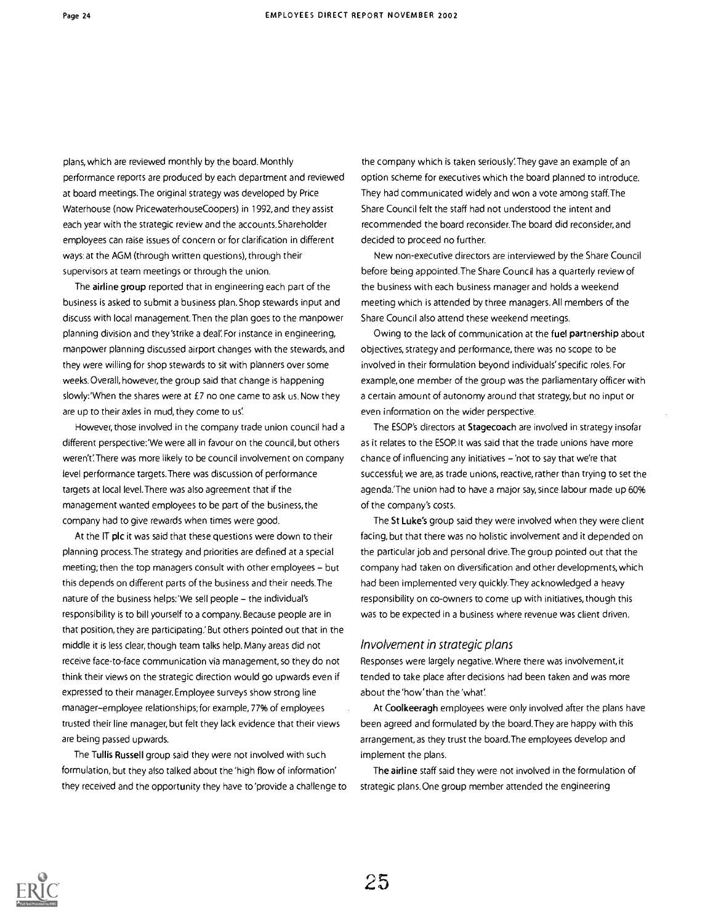plans, which are reviewed monthly by the board. Monthly performance reports are produced by each department and reviewed at board meetings. The original strategy was developed by Price Waterhouse (now PricewaterhouseCoopers) in 1992, and they assist each year with the strategic review and the accounts. Shareholder employees can raise issues of concern or for clarification in different ways: at the AGM (through written questions), through their supervisors at team meetings or through the union.

The airline group reported that in engineering each part of the business is asked to submit a business plan. Shop stewards input and discuss with local management. Then the plan goes to the manpower planning division and they'strike a deal: For instance in engineering, manpower planning discussed airport changes with the stewards, and they were willing for shop stewards to sit with planners over some weeks.Overall, however, the group said that change is happening slowly:'When the shares were at £7 no one came to ask us. Now they are up to their axles in mud, they come to us'.

However, those involved in the company trade union council had a different perspective:'We were all in favour on the council, but others weren't: There was more likely to be council involvement on company level performance targets.There was discussion of performance targets at local level.There was also agreement that if the management wanted employees to be part of the business, the company had to give rewards when times were good.

At the IT plc it was said that these questions were down to their planning process.The strategy and priorities are defined at a special meeting; then the top managers consult with other employees - but this depends on different parts of the business and their needs.The nature of the business helps:'We sell people - the individual's responsibility is to bill yourself to a company. Because people are in that position, they are participating' But others pointed out that in the middle it is less clear, though team talks help. Many areas did not receive face-to-face communication via management, so they do not think their views on the strategic direction would go upwards even if expressed to their manager. Employee surveys show strong line manager-employee relationships; for example, 77% of employees trusted their line manager, but felt they lack evidence that their views are being passed upwards.

The Tullis Russell group said they were not involved with such formulation, but they also talked about the 'high flow of information' they received and the opportunity they have to 'provide a challenge to the company which is taken seriously: They gave an example of an option scheme for executives which the board planned to introduce. They had communicated widely and won a vote among staff The Share Council felt the staff had not understood the intent and recommended the board reconsider.The board did reconsider, and decided to proceed no further.

New non-executive directors are interviewed by the Share Council before being appointed.The Share Council has a quarterly review of the business with each business manager and holds a weekend meeting which is attended by three managers. All members of the Share Council also attend these weekend meetings.

Owing to the lack of communication at the fuel partnership about objectives, strategy and performance, there was no scope to be involved in their formulation beyond individuals' specific roles. For example, one member of the group was the parliamentary officer with a certain amount of autonomy around that strategy, but no input or even information on the wider perspective.

The ESOP's directors at Stagecoach are involved in strategy insofar as it relates to the ESOP.It was said that the trade unions have more chance of influencing any initiatives - 'not to say that we're that successful; we are, as trade unions, reactive, rather than trying to set the agenda.'The union had to have a major say, since labour made up 60% of the company's costs.

The St Luke's group said they were involved when they were client facing, but that there was no holistic involvement and it depended on the particular job and personal drive.The group pointed out that the company had taken on diversification and other developments, which had been implemented very quickly.They acknowledged a heavy responsibility on co-owners to come up with initiatives, though this was to be expected in a business where revenue was client driven.

#### Involvement in strategic plans

Responses were largely negative. Where there was involvement, it tended to take place after decisions had been taken and was more about the 'how'than the 'what:

At Coolkeeragh employees were only involved after the plans have been agreed and formulated by the board.They are happy with this arrangement, as they trust the board.The employees develop and implement the plans.

The airline staff said they were not involved in the formulation of strategic plans.One group member attended the engineering

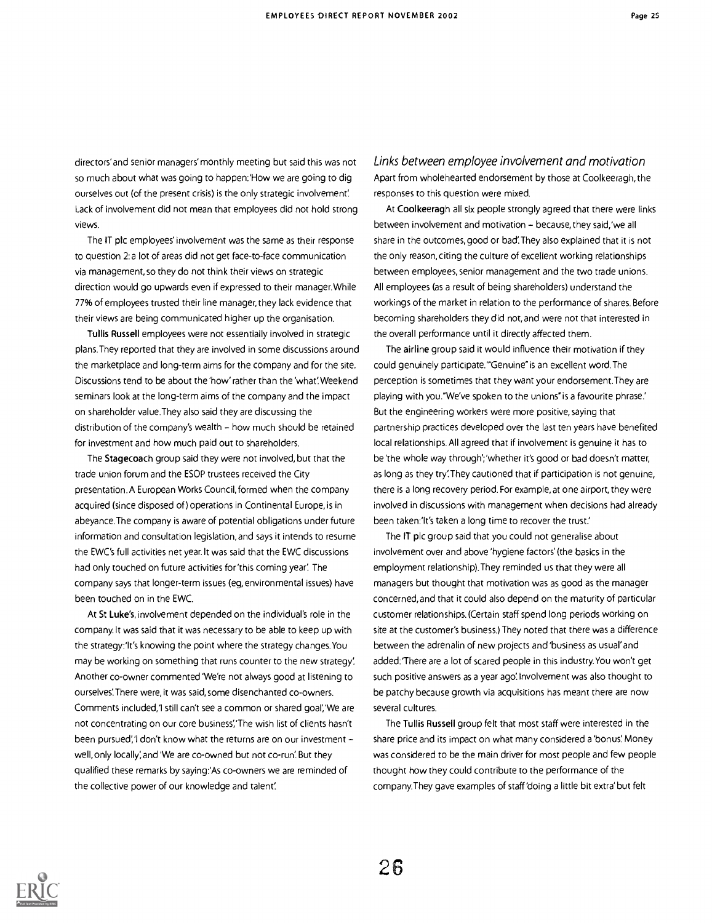directors' and senior managers' monthly meeting but said this was not so much about what was going to happen:'How we are going to dig ourselves out (of the present crisis) is the only strategic involvement Lack of involvement did not mean that employees did not hold strong views.

The IT plc employees' involvement was the same as their response to question 2:a lot of areas did not get face-to-face communication via management, so they do not think their views on strategic direction would go upwards even if expressed to their manager. While 77% of employees trusted their line manager, they lack evidence that their views are being communicated higher up the organisation.

Tullis Russell employees were not essentially involved in strategic plans.They reported that they are involved in some discussions around the marketplace and long-term aims for the company and for the site. Discussions tend to be about the 'how' rather than the 'what'. Weekend seminars look at the long-term aims of the company and the impact on shareholder value.They also said they are discussing the distribution of the company's wealth - how much should be retained for investment and how much paid out to shareholders.

The Stagecoach group said they were not involved, but that the trade union forum and the ESOP trustees received the City presentation.A European Works Council, formed when the company acquired (since disposed of) operations in Continental Europe, is in abeyance.The company is aware of potential obligations under future information and consultation legislation, and says it intends to resume the EWC's full activities net year. It was said that the EWC discussions had only touched on future activities for 'this coming year'. The company says that longer-term issues (eg, environmental issues) have been touched on in the EWC.

At St Luke's, involvement depended on the individual's role in the company.lt was said that it was necessary to be able to keep up with the strategy:It's knowing the point where the strategy changes. You may be working on something that runs counter to the new strategy: Another co-owner commented 'We're not always good at listening to ourselves:There were, it was said, some disenchanted co-owners. Comments included,'I still can't see a common or shared goal;'We are not concentrating on our core business'. The wish list of clients hasn't been pursued;'I don't know what the returns are on our investment well, only locally, and 'We are co-owned but not co-run'. But they qualified these remarks by saying:'As co-owners we are reminded of the collective power of our knowledge and talent:

Links between employee involvement and motivation Apart from wholehearted endorsement by those at Coolkeeragh, the responses to this question were mixed.

At Coolkeeragh all six people strongly agreed that there were links between involvement and motivation - because, they said, 'we all share in the outcomes, good or bad:They also explained that it is not the only reason, citing the culture of excellent working relationships between employees, senior management and the two trade unions. All employees (as a result of being shareholders) understand the workings of the market in relation to the performance of shares. Before becoming shareholders they did not,and were not that interested in the overall performance until it directly affected them.

The airline group said it would influence their motivation if they could genuinely participate.'"Genuine" is an excellent word.The perception is sometimes that they want your endorsement.They are playing with you."We've spoken to the unions" is a favourite phrase.' But the engineering workers were more positive, saying that partnership practices developed over the last ten years have benefited local relationships. All agreed that if involvement is genuine it has to be 'the whole way through';'whether it's good or bad doesn't matter, as long as they try:They cautioned that if participation is not genuine, there is a long recovery period. For example, at one airport, they were involved in discussions with management when decisions had already been taken:'It's taken a long time to recover the trust.'

The IT plc group said that you could not generalise about involvement over and above 'hygiene factors' (the basics in the employment relationship).They reminded us that they were all managers but thought that motivation was as good as the manager concerned, and that it could also depend on the maturity of particular customer relationships. (Certain staff spend long periods working on site at the customer's business.) They noted that there was a difference between the adrenalin of new projects and 'business as usual'and added:'There are a lot of scared people in this industry.You won't get such positive answers as a year ago! Involvement was also thought to be patchy because growth via acquisitions has meant there are now several cultures.

The Tullis Russell group felt that most staff were interested in the share price and its impact on what many considered a 'bonus'. Money was considered to be the main driver for most people and few people thought how they could contribute to the performance of the company.They gave examples of staff 'doing a little bit extra' but felt

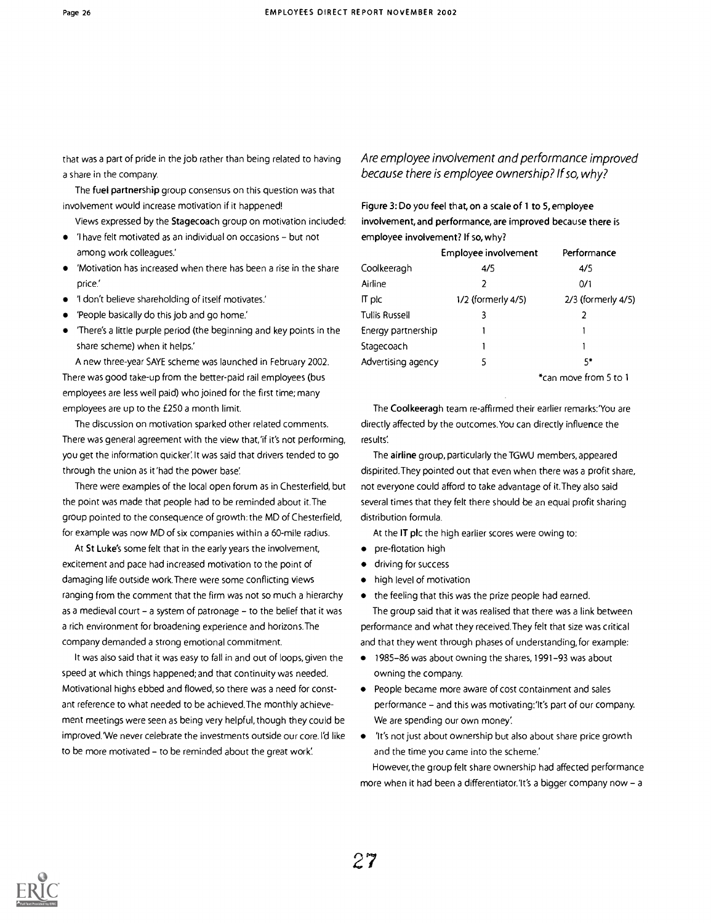that was a part of pride in the job rather than being related to having a share in the company.

The fuel partnership group consensus on this question was that involvement would increase motivation if it happened!

Views expressed by the Stagecoach group on motivation included:

- 'I have felt motivated as an individual on occasions but not among work colleagues.'
- 'Motivation has increased when there has been a rise in the share price.'
- 'I don't believe shareholding of itself motivates.'
- 'People basically do this job and go home.'
- 'There's a little purple period (the beginning and key points in the share scheme) when it helps.'

A new three-year SAYE scheme was launched in February 2002. There was good take-up from the better-paid rail employees (bus employees are less well paid) who joined for the first time; many employees are up to the £250 a month limit.

The discussion on motivation sparked other related comments. There was general agreement with the view that,'if it's not performing, you get the information quicker'. It was said that drivers tended to go through the union as it 'had the power base'.

There were examples of the local open forum as in Chesterfield, but the point was made that people had to be reminded about it.The group pointed to the consequence of growth: the MD of Chesterfield, for example was now MD of six companies within a 60-mile radius.

At St Luke's some felt that in the early years the involvement, excitement and pace had increased motivation to the point of damaging life outside work.There were some conflicting views ranging from the comment that the firm was not so much a hierarchy as a medieval court – a system of patronage – to the belief that it was a rich environment for broadening experience and horizons.The company demanded a strong emotional commitment.

It was also said that it was easy to fall in and out of loops, given the speed at which things happened; and that continuity was needed. Motivational highs ebbed and flowed, so there was a need for constant reference to what needed to be achieved.The monthly achievement meetings were seen as being very helpful, though they could be improved.'We never celebrate the investments outside our core. I'd like to be more motivated - to be reminded about the great work.

#### Are employee involvement and performance improved because there is employee ownership? If so, why?

Figure 3: Do you feel that, on a scale of 1 to 5, employee involvement, and performance, are improved because there is employee involvement? If so, why?

|                       | Employee involvement | Performance        |  |
|-----------------------|----------------------|--------------------|--|
| Coolkeeragh           | 4/5                  | 4/5                |  |
| Airline               | 2                    | 0/1                |  |
| IT plc                | 1/2 (formerly 4/5)   | 2/3 (formerly 4/5) |  |
| <b>Tullis Russell</b> | 3                    |                    |  |
| Energy partnership    |                      |                    |  |
| Stagecoach            |                      |                    |  |
| Advertising agency    | 5                    | 5*                 |  |

\*can move from 5 to 1

The Coolkeeragh team re-affirmed their earlier remarks:'You are directly affected by the outcomes.You can directly influence the results

The airline group, particularly the TGWU members, appeared dispirited.They pointed out that even when there was a profit share, not everyone could afford to take advantage of it.They also said several times that they felt there should be an equal profit sharing distribution formula.

At the IT plc the high earlier scores were owing to:

- **•** pre-flotation high
- driving for success
- high level of motivation

• the feeling that this was the prize people had earned.

The group said that it was realised that there was a link between performance and what they received.They felt that size was critical and that they went through phases of understanding, for example:

- 1985-86 was about owning the shares, 1991-93 was about owning the company.
- People became more aware of cost containment and sales performance - and this was motivating: 'It's part of our company. We are spending our own money'.
- 'It's not just about ownership but also about share price growth and the time you came into the scheme.'

However, the group felt share ownership had affected performance more when it had been a differentiator.'It's a bigger company now - a

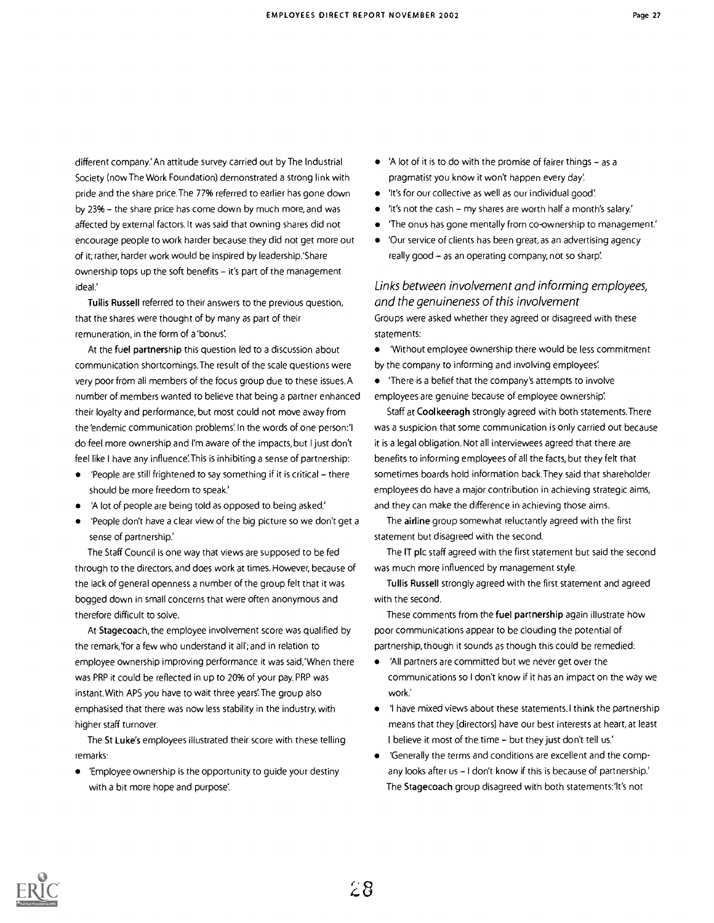different company.' An attitude survey carried out by The Industrial Society (now The Work Foundation) demonstrated a strong link with pride and the share price.The 77% referred to earlier has gone down by 23% – the share price has come down by much more, and was affected by external factors. It was said that owning shares did not encourage people to work harder because they did not get more out of it; rather, harder work would be inspired by leadership.'Share ownership tops up the soft benefits  $-$  it's part of the management ideal'

Tullis Russell referred to their answers to the previous question, that the shares were thought of by many as part of their remuneration, in the form of a 'bonus:

At the fuel partnership this question led to a discussion about communication shortcomings.The result of the scale questions were very poor from all members of the focus group due to these issues. A number of members wanted to believe that being a partner enhanced their loyalty and performance, but most could not move away from the 'endemic communication problems'. In the words of one person:'I do feel more ownership and I'm aware of the impacts, but I just don't feel like I have any influence:This is inhibiting a sense of partnership:

- $\bullet$  'People are still frightened to say something if it is critical there should be more freedom to speak.'
- 'A lot of people are being told as opposed to being asked'
- 'People don't have a clear view of the big picture so we don't get a sense of partnership.'

The Staff Council is one way that views are supposed to be fed through to the directors, and does work at times. However, because of the lack of general openness a number of the group felt that it was bogged down in small concerns that were often anonymous and therefore difficult to solve.

At Stagecoach, the employee involvement score was qualified by the remark,'for a few who understand it all'; and in relation to employee ownership improving performance it was said,'When there was PRP it could be reflected in up to 20% of your pay. PRP was instant. With APS you have to wait three years:The group also emphasised that there was now less stability in the industry, with higher staff turnover.

The St Luke's employees illustrated their score with these telling remarks:

'Employee ownership is the opportunity to guide your destiny with a bit more hope and purpose.

- $\bullet$  'A lot of it is to do with the promise of fairer things  $-$  as a pragmatist you know it won't happen every day:
- 'It's for our collective as well as our individual good:
- $\bullet$  'It's not the cash my shares are worth half a month's salary.'
- 'The onus has gone mentally from co-ownership to management.'
- 'Our service of clients has been great, as an advertising agency really good - as an operating company, not so sharp!

Links between involvement and informing employees, and the genuineness of this involvement Groups were asked whether they agreed or disagreed with these statements:

'Without employee ownership there would be less commitment by the company to informing and involving employees:

'There is a belief that the company's attempts to involve employees are genuine because of employee ownership:

Staff at Coolkeeragh strongly agreed with both statements.There was a suspicion that some communication is only carried out because it is a legal obligation. Not all interviewees agreed that there are benefits to informing employees of all the facts, but they felt that sometimes boards hold information back.They said that shareholder employees do have a major contribution in achieving strategic aims, and they can make the difference in achieving those aims.

The airline group somewhat reluctantly agreed with the first statement but disagreed with the second.

The IT plc staff agreed with the first statement but said the second was much more influenced by management style.

Tullis Russell strongly agreed with the first statement and agreed with the second.

These comments from the fuel partnership again illustrate how poor communications appear to be clouding the potential of partnership, though it sounds as though this could be remedied:

- 'All partners are committed but we never get over the communications so I don't know if it has an impact on the way we work.'
- 'I have mixed views about these statements.l think the partnership means that they [directors] have our best interests at heart, at least I believe it most of the time - but they just don't tell us'
- 'Generally the terms and conditions are excellent and the company looks after us - I don't know if this is because of partnership.' The Stagecoach group disagreed with both statements:'It's not

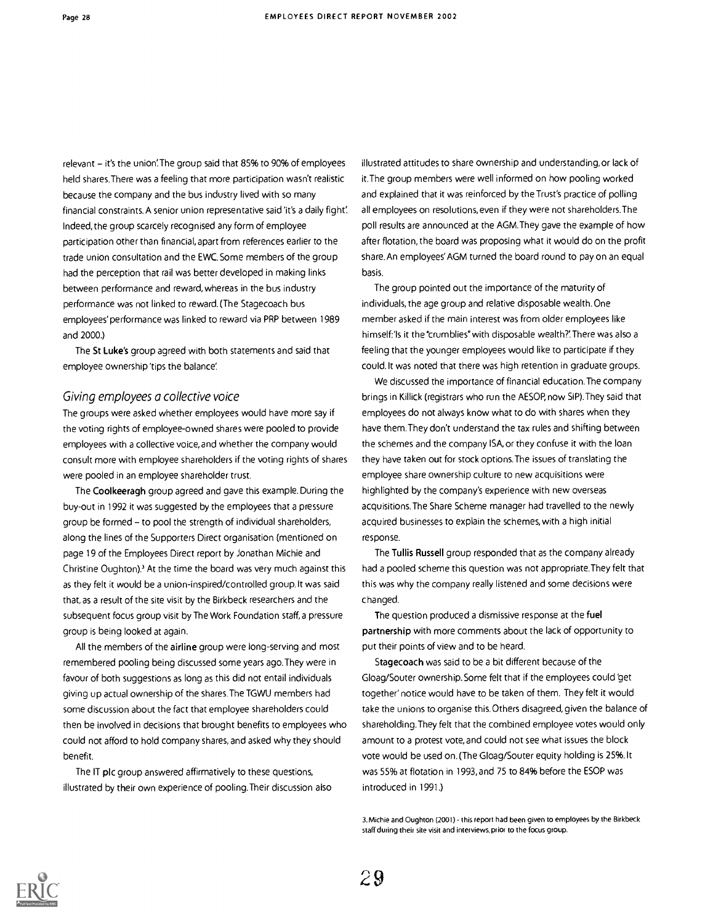relevant  $-$  it's the union. The group said that 85% to 90% of employees held shares.There was a feeling that more participation wasn't realistic because the company and the bus industry lived with so many financial constraints. A senior union representative said 'it's a daily fight'. Indeed, the group scarcely recognised any form of employee participation other than financial, apart from references earlier to the trade union consultation and the EWC.Some members of the group had the perception that rail was better developed in making links between performance and reward, whereas in the bus industry performance was not linked to reward. (The Stagecoach bus employees' performance was linked to reward via PRP between 1989 and 2000.)

The St Luke's group agreed with both statements and said that employee ownership 'tips the balance

#### Giving employees a collective voice

The groups were asked whether employees would have more say if the voting rights of employee-owned shares were pooled to provide employees with a collective voice, and whether the company would consult more with employee shareholders if the voting rights of shares were pooled in an employee shareholder trust.

The Coolkeeragh group agreed and gave this example. During the buy-out in 1992 it was suggested by the employees that a pressure group be formed - to pool the strength of individual shareholders, along the lines of the Supporters Direct organisation (mentioned on page 19 of the Employees Direct report by Jonathan Michie and Christine Oughton)? At the time the board was very much against this as they felt it would be a union-inspired/controlled group.lt was said that, as a result of the site visit by the Birkbeck researchers and the subsequent focus group visit by The Work Foundation staff, a pressure group is being looked at again.

All the members of the airline group were long-serving and most remembered pooling being discussed some years ago.They were in favour of both suggestions as long as this did not entail individuals giving up actual ownership of the shares.The TGWU members had some discussion about the fact that employee shareholders could then be involved in decisions that brought benefits to employees who could not afford to hold company shares, and asked why they should benefit.

The IT plc group answered affirmatively to these questions, illustrated by their own experience of pooling.Their discussion also illustrated attitudes to share ownership and understanding, or lack of it.The group members were well informed on how pooling worked and explained that it was reinforced by the Trust's practice of polling all employees on resolutions, even if they were not shareholders.The poll results are announced at the AGM.They gave the example of how after flotation, the board was proposing what it would do on the profit share. An employees' AGM turned the board round to pay on an equal basis.

The group pointed out the importance of the maturity of individuals, the age group and relative disposable wealth.One member asked if the main interest was from older employees like himself:'Is it the "crumblies" with disposable wealth?'. There was also a feeling that the younger employees would like to participate if they could.lt was noted that there was high retention in graduate groups.

We discussed the importance of financial education.The company brings in Killick (registrars who run the AESOP, now SIP).They said that employees do not always know what to do with shares when they have them.They don't understand the tax rules and shifting between the schemes and the company ISA, or they confuse it with the loan they have taken out for stock options.The issues of translating the employee share ownership culture to new acquisitions were highlighted by the company's experience with new overseas acquisitions.The Share Scheme manager had travelled to the newly acquired businesses to explain the schemes, with a high initial response.

The Tullis Russell group responded that as the company already had a pooled scheme this question was not appropriate.They felt that this was why the company really listened and some decisions were changed.

The question produced a dismissive response at the fuel partnership with more comments about the lack of opportunity to put their points of view and to be heard.

Stagecoach was said to be a bit different because of the Gloag/Souter ownership. Some felt that if the employees could 'get together' notice would have to be taken of them. They felt it would take the unions to organise this. Others disagreed, given the balance of shareholding.They felt that the combined employee votes would only amount to a protest vote, and could not see what issues the block vote would be used on. (The Gloag/Souter equity holding is 25%. It was 55% at flotation in 1993, and 75 to 84% before the ESOP was introduced in 1991.)

3. Michie and Oughton (2001) - this report had been given to employees by the Birkbeck staff during their site visit and interviews, prior to the focus group.

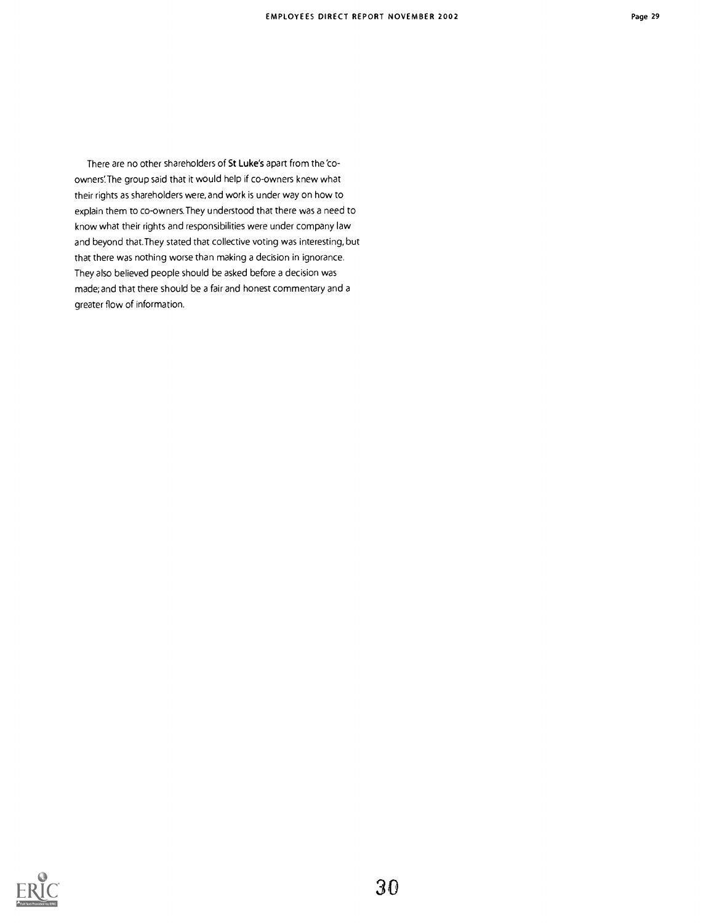There are no other shareholders of St Luke's apart from the 'coowners'. The group said that it would help if co-owners knew what their rights as shareholders were, and work is under way on how to explain them to co-owners.They understood that there was a need to know what their rights and responsibilities were under company law and beyond that.They stated that collective voting was interesting, but that there was nothing worse than making a decision in ignorance. They also believed people should be asked before a decision was made; and that there should be a fair and honest commentary and a greater flow of information.

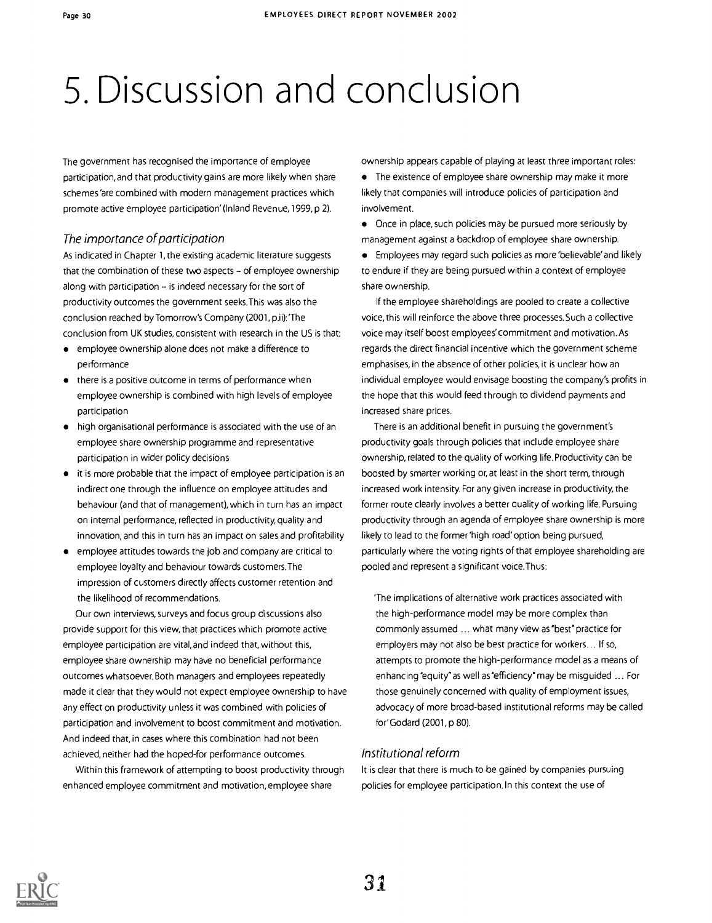### 5. Discussion and conclusion

The government has recognised the importance of employee participation, and that productivity gains are more likely when share schemes'are combined with modern management practices which promote active employee participation' (Inland Revenue, 1999, p 2).

#### The importance of participation

As indicated in Chapter 1, the existing academic literature suggests that the combination of these two aspects  $-$  of employee ownership along with participation - is indeed necessary for the sort of productivity outcomes the government seeks.This was also the conclusion reached by Tomorrow's Company (2001, p.ii):'The conclusion from UK studies, consistent with research in the US is that:

- employee ownership alone does not make a difference to performance
- there is a positive outcome in terms of performance when employee ownership is combined with high levels of employee participation
- high organisational performance is associated with the use of an employee share ownership programme and representative participation in wider policy decisions
- it is more probable that the impact of employee participation is an indirect one through the influence on employee attitudes and behaviour (and that of management), which in turn has an impact on internal performance, reflected in productivity, quality and innovation, and this in turn has an impact on sales and profitability
- employee attitudes towards the job and company are critical to  $\bullet$ employee loyalty and behaviour towards customers.The impression of customers directly affects customer retention and the likelihood of recommendations.

Our own interviews, surveys and focus group discussions also provide support for this view, that practices which promote active employee participation are vital, and indeed that, without this, employee share ownership may have no beneficial performance outcomes whatsoever. Both managers and employees repeatedly made it clear that they would not expect employee ownership to have any effect on productivity unless it was combined with policies of participation and involvement to boost commitment and motivation. And indeed that, in cases where this combination had not been achieved, neither had the hoped-for performance outcomes.

Within this framework of attempting to boost productivity through enhanced employee commitment and motivation, employee share

ownership appears capable of playing at least three important roles:

The existence of employee share ownership may make it more likely that companies will introduce policies of participation and involvement.

Once in place, such policies may be pursued more seriously by management against a backdrop of employee share ownership.

Employees may regard such policies as more 'believable' and likely to endure if they are being pursued within a context of employee share ownership.

If the employee shareholdings are pooled to create a collective voice, this will reinforce the above three processes. Such a collective voice may itself boost employees' commitment and motivation. As regards the direct financial incentive which the government scheme emphasises, in the absence of other policies, it is unclear how an individual employee would envisage boosting the company's profits in the hope that this would feed through to dividend payments and increased share prices.

There is an additional benefit in pursuing the government's productivity goals through policies that include employee share ownership, related to the quality of working life. Productivity can be boosted by smarter working or, at least in the short term, through increased work intensity. For any given increase in productivity, the former route clearly involves a better quality of working life. Pursuing productivity through an agenda of employee share ownership is more likely to lead to the former 'high road'option being pursued, particularly where the voting rights of that employee shareholding are pooled and represent a significant voice.Thus:

'The implications of alternative work practices associated with the high-performance model may be more complex than commonly assumed ... what many view as "best" practice for employers may not also be best practice for workers... If so, attempts to promote the high-performance model as a means of enhancing "equity"as well as"efficiency" may be misguided ... For those genuinely concerned with quality of employment issues, advocacy of more broad-based institutional reforms may be called for'Godard (2001,p 80).

#### Institutional reform

It is clear that there is much to be gained by companies pursuing policies for employee participation. In this context the use of

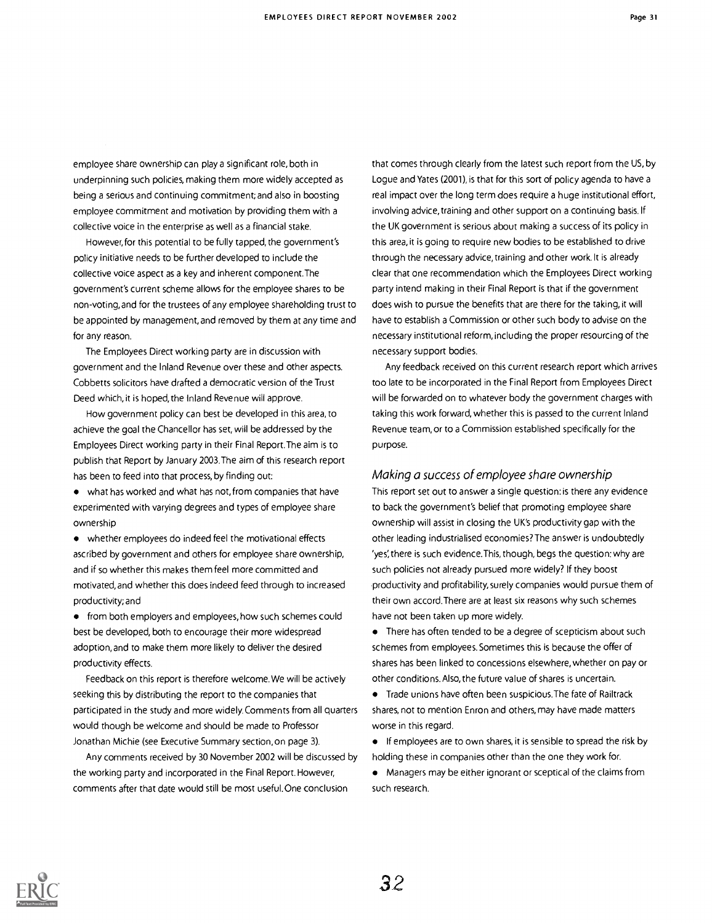employee share ownership can play a significant role, both in underpinning such policies, making them more widely accepted as being a serious and continuing commitment; and also in boosting employee commitment and motivation by providing them with a collective voice in the enterprise as well as a financial stake.

However, for this potential to be fully tapped, the government's policy initiative needs to be further developed to include the collective voice aspect as a key and inherent component.The government's current scheme allows for the employee shares to be non-voting, and for the trustees of any employee shareholding trust to be appointed by management, and removed by them at any time and for any reason.

The Employees Direct working party are in discussion with government and the Inland Revenue over these and other aspects. Cobbetts solicitors have drafted a democratic version of the Trust Deed which, it is hoped, the Inland Revenue will approve.

How government policy can best be developed in this area, to achieve the goal the Chancellor has set, will be addressed by the Employees Direct working party in their Final Report.The aim is to publish that Report by January 2003.The aim of this research report has been to feed into that process, by finding out:

what has worked and what has not, from companies that have experimented with varying degrees and types of employee share ownership

whether employees do indeed feel the motivational effects ascribed by government and others for employee share ownership, and if so whether this makes them feel more committed and motivated, and whether this does indeed feed through to increased productivity; and

**•** from both employers and employees, how such schemes could best be developed, both to encourage their more widespread adoption, and to make them more likely to deliver the desired productivity effects.

Feedback on this report is therefore welcome. We will be actively seeking this by distributing the report to the companies that participated in the study and more widely. Comments from all quarters would though be welcome and should be made to Professor Jonathan Michie (see Executive Summary section, on page 3).

Any comments received by 30 November 2002 will be discussed by the working party and incorporated in the Final Report. However, comments after that date would still be most useful.One conclusion

that comes through clearly from the latest such report from the US, by Logue and Yates (2001), is that for this sort of policy agenda to have a real impact over the long term does require a huge institutional effort, involving advice, training and other support on a continuing basis. If the UK government is serious about making a success of its policy in this area, it is going to require new bodies to be established to drive through the necessary advice, training and other work. It is already clear that one recommendation which the Employees Direct working party intend making in their Final Report is that if the government does wish to pursue the benefits that are there for the taking, it will have to establish a Commission or other such body to advise on the necessary institutional reform, including the proper resourcing of the necessary support bodies.

Any feedback received on this current research report which arrives too late to be incorporated in the Final Report from Employees Direct will be forwarded on to whatever body the government charges with taking this work forward, whether this is passed to the current Inland Revenue team, or to a Commission established specifically for the purpose.

#### Making a success of employee share ownership

This report set out to answer a single question: is there any evidence to back the government's belief that promoting employee share ownership will assist in closing the UK's productivity gap with the other leading industrialised economies? The answer is undoubtedly 'yes', there is such evidence.This, though, begs the question: why are such policies not already pursued more widely? If they boost productivity and profitability, surely companies would pursue them of their own accord.There are at least six reasons why such schemes have not been taken up more widely.

• There has often tended to be a degree of scepticism about such schemes from employees. Sometimes this is because the offer of shares has been linked to concessions elsewhere, whether on pay or other conditions. Also, the future value of shares is uncertain.

Trade unions have often been suspicious.The fate of Railtrack shares, not to mention Enron and others, may have made matters worse in this regard.

**If employees are to own shares, it is sensible to spread the risk by** holding these in companies other than the one they work for.

Managers may be either ignorant or sceptical of the claims from such research.

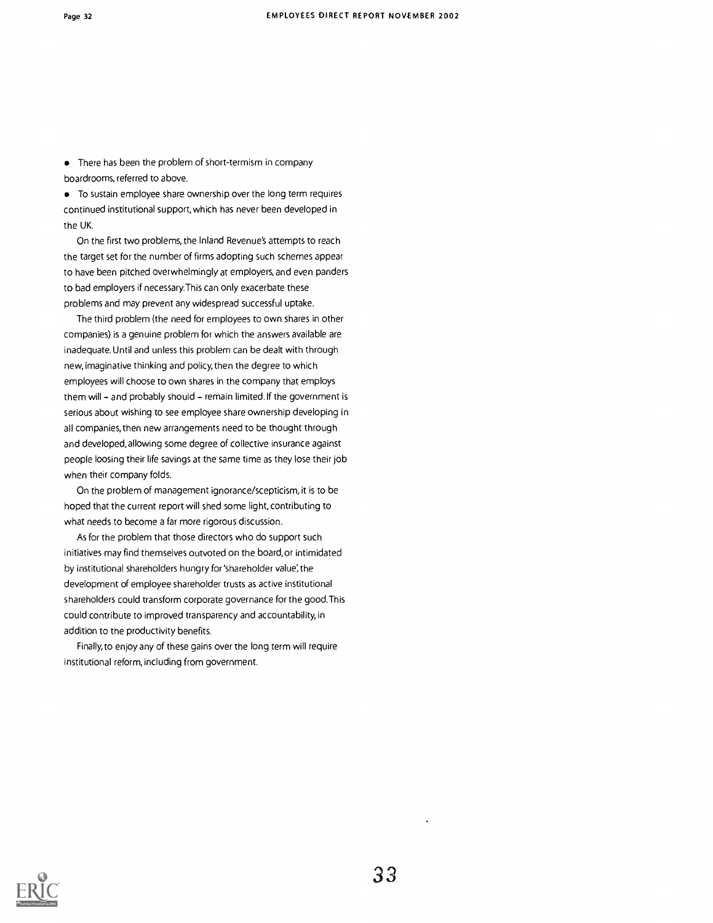• There has been the problem of short-termism in company boardrooms, referred to above.

To sustain employee share ownership over the long term requires continued institutional support, which has never been developed in the UK.

On the first two problems, the Inland Revenue's attempts to reach the target set for the number of firms adopting such schemes appear to have been pitched overwhelmingly at employers, and even panders to bad employers if necessary.This can only exacerbate these problems and may prevent any widespread successful uptake.

The third problem (the need for employees to own shares in other companies) is a genuine problem for which the answers available are inadequate. Until and unless this problem can be dealt with through new, imaginative thinking and policy, then the degree to which employees will choose to own shares in the company that employs them will - and probably should - remain limited. If the government is serious about wishing to see employee share ownership developing in all companies, then new arrangements need to be thought through and developed, allowing some degree of collective insurance against people loosing their life savings at the same time as they lose their job when their company folds.

On the problem of management ignorance/scepticism, it is to be hoped that the current report will shed some light, contributing to what needs to become a far more rigorous discussion.

As for the problem that those directors who do support such initiatives may find themselves outvoted on the board, or intimidated by institutional shareholders hungry for 'shareholder value; the development of employee shareholder trusts as active institutional shareholders could transform corporate governance for the good.This could contribute to improved transparency and accountability, in addition to the productivity benefits.

Finally, to enjoy any of these gains over the long term will require institutional reform, including from government.

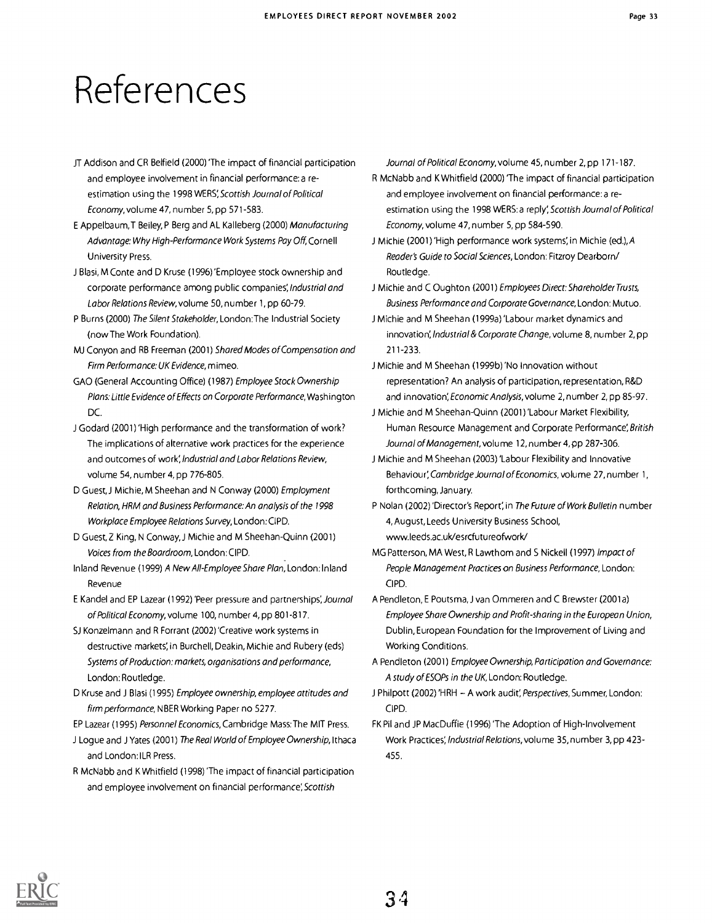## References

- JT Addison and CR Belfield (2000) 'The impact of financial participation and employee involvement in financial performance:a reestimation using the 1998 WERS; Scottish Journal of Political Economy, volume 47, number 5, pp 571-583.
- E Appelbaum,T Beiley, P Berg and AL Kalleberg (2000) Manufacturing Advantage: Why High-Performance Work Systems Pay Off, Cornell University Press.
- J Blasi, M Conte and D Kruse (1996)'Employee stock ownership and corporate performance among public companies; Industrial and Labor Relations Review, volume 50, number 1, pp 60-79.
- P Burns (2000) The Silent Stakeholder, London:The Industrial Society (now The Work Foundation).
- MJ Conyon and RB Freeman (2001) Shared Modes of Compensation and Firm Performance: UK Evidence, mimeo.
- GAO (General Accounting Office) (1987) Employee Stock Ownership Plans: Little Evidence of Effects on Corporate Performance, Washington DC.
- J Godard (2001) 'High performance and the transformation of work? The implications of alternative work practices for the experience and outcomes of work; Industrial and Labor Relations Review, volume 54, number 4, pp 776-805.
- D Guest, J Michie, M Sheehan and N Conway (2000) Employment Relation, HRM and Business Performance: An analysis of the 1998 Workplace Employee Relations Survey, London: CIPD.
- D Guest, Z King, N Conway, J Michie and M Sheehan-Quinn (2001) Voices from the Boardroom, London: CIPD.
- Inland Revenue (1999) A New All-Employee Share Plan, London:Inland Revenue
- E Kandel and EP Lazear (1992) 'Peer pressure and partnerships;Journal of Political Economy, volume 100, number 4, pp 801-817.

SJ Konzelmann and R Forrant (2002)'Creative work systems in destructive markets; in Burchell, Deakin, Michie and Rubery (eds) Systems of Production: markets, organisations and performance, London: Routledge.

D Kruse and J Blasi (1995) Employee ownership, employee attitudes and firm performance, NBER Working Paper no 5277.

EP Lazear (1995) Personnel Economics, Cambridge Mass:The MIT Press.

- Logue and J Yates (2001) The Real World of Employee Ownership, Ithaca and London: ILR Press.
- R McNabb and K Whitfield (1998)'The impact of financial participation and employee involvement on financial performance; Scottish

Journal of Political Economy, volume 45, number 2, pp 171-187.

- R McNabb and K Whitfield (2000) 'The impact of financial participation and employee involvement on financial performance: a reestimation using the 1998 WERS: a reply; Scottish Journal of Political Economy, volume 47, number 5, pp 584-590.
- J Michie (2001) 'High performance work systems', in Michie (ed.), A Reader's Guide to Social Sciences, London: Fitzroy Dearborn/ Routledge.
- J Michie and C Oughton (2001) Employees Direct: Shareholder Trusts, Business Performance and Corporate Governance, London: Mutuo.
- J Michie and M Sheehan (1999a) 'Labour market dynamics and innovation; Industrial & Corporate Change, volume 8, number 2, pp 211-233.
- J Michie and M Sheehan (1999b) 'No Innovation without representation? An analysis of participation, representation, R&D and innovation; Economic Analysis, volume 2, number 2, pp 85-97.
- J Michie and M Sheehan-Quinn (2001) Labour Market Flexibility, Human Resource Management and Corporate Performance; British Journal of Management, volume 12, number 4, pp 287-306.
- J Michie and M Sheehan (2003) 'Labour Flexibility and Innovative Behaviour; Cambridge Journal of Economics, volume 27, number 1, forthcoming, January.
- P Nolan (2002) 'Director's Report; in The Future of Work Bulletin number 4, August, Leeds University Business School, www.leeds.ac.uk/esrcfutureofwork/
- MG Patterson, MA West, R Lawthom and S Nickell (1997) Impact of People Management Practices on Business Performance, London: CIPD.
- A Pendleton, E Poutsma, J van Ommeren and C Brewster (2001a) Employee Share Ownership and Profit-sharing in the European Union, Dublin, European Foundation for the Improvement of Living and Working Conditions.
- A Pendleton (2001) Employee Ownership, Participation and Governance: A study of ESOPs in the UK, London: Routledge.
- J Philpott (2002) 'HRH A work audit', Perspectives, Summer, London: CIPD.
- FK Pil and JP MacDuffie (1996)'The Adoption of High-Involvement Work Practices; Industrial Relations, volume 35, number 3, pp 423- 455.

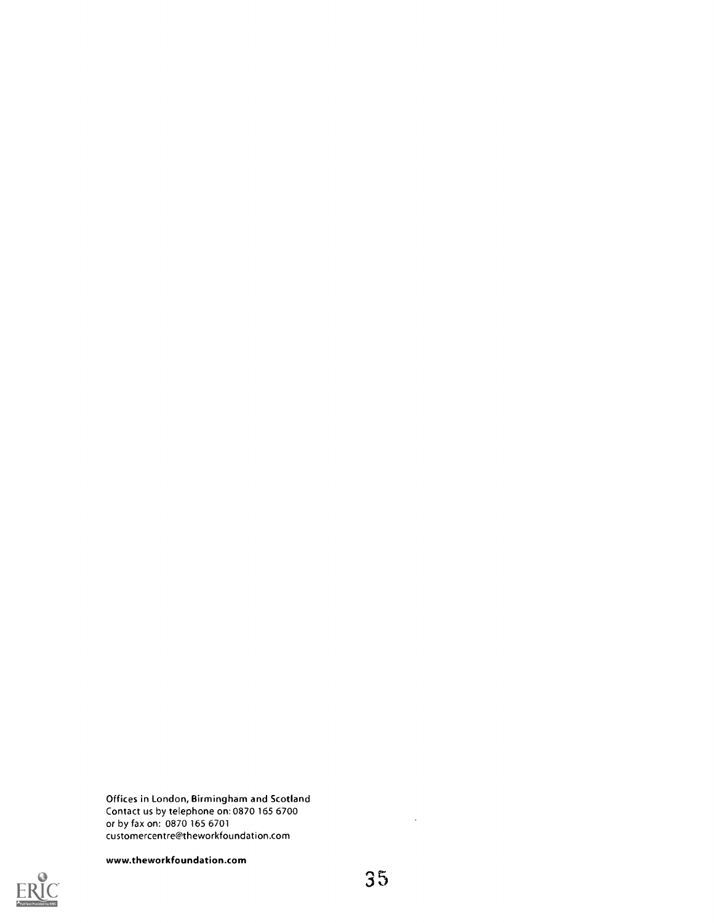Offices in London, Birmingham and Scotland Contact us by telephone on: 0870 165 6700 or by fax on: 0870 165 6701 customercentre@theworkfoundation.com





 $\hat{\mathcal{E}}$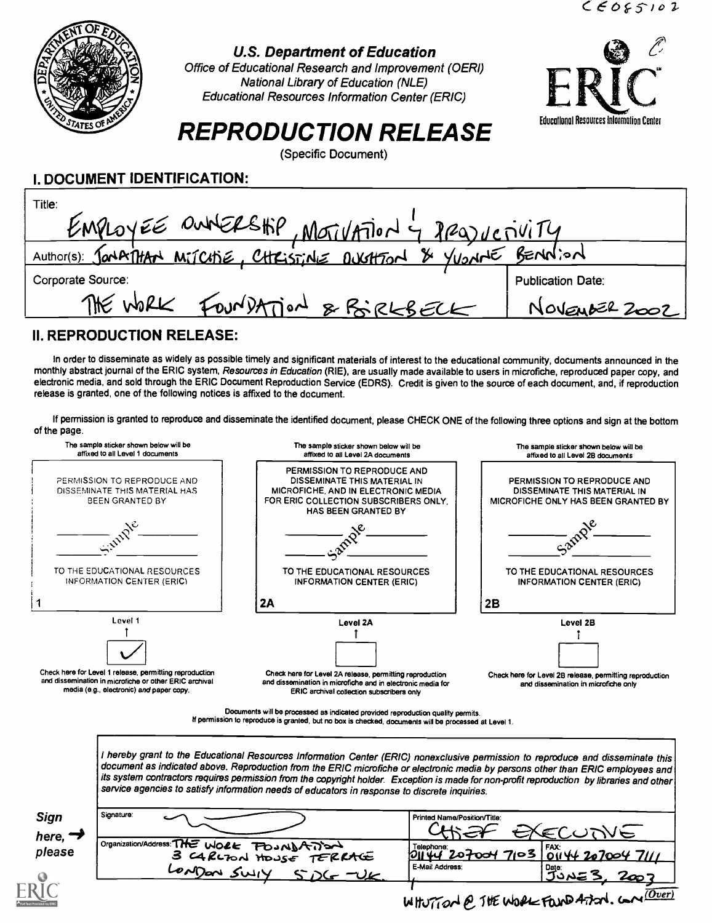

#### U.S. Department of Education

Office of Educational Research and Improvement (OERI) National Library of Education (NLE) Educational Resources Information Center (ERIC)



### REPRODUCTION RELEASE

(Specific Document)

#### I. DOCUMENT IDENTIFICATION:

| Title:<br>EMPLOYEE OUNERSHIP, MOTIVATION 4 REQUESIVITY           |                          |
|------------------------------------------------------------------|--------------------------|
| Author(s): Jonkithan MiTCHIE, CHRISTINE DUGHTON & YUONNE BENNION |                          |
| Corporate Source:                                                | <b>Publication Date:</b> |
| FOUNDATION & BIRKBELK<br>THE WORK                                | NOVEMBER 2002            |

### II. REPRODUCTION RELEASE:

In order to disseminate as widely as possible timely and significant materials of interest to the educational community, documents announced in the monthly abstract journal of the ERIC system, Resources in Education (RIE), are usually made available to users in microfiche, reproduced paper copy, and electronic media, and sold through the ERIC Document Reproduction Service (EDRS). Credit is given to the source of each document, and, if reproduction release is granted, one of the following notices is affixed to the document.

If permission is granted to reproduce and disseminate the identified document, please CHECK ONE of the following three options and sign at the bottom of the page.